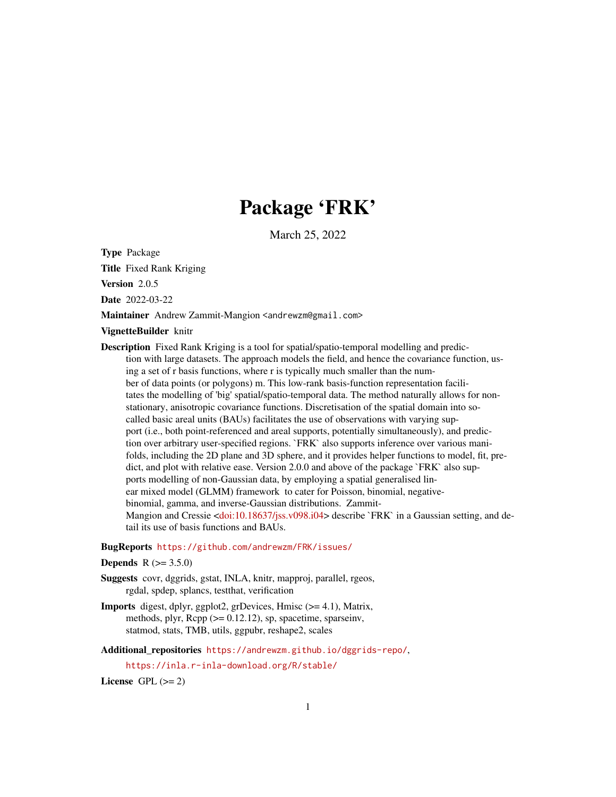# Package 'FRK'

March 25, 2022

<span id="page-0-0"></span>Type Package

Title Fixed Rank Kriging

Version 2.0.5

Date 2022-03-22

Maintainer Andrew Zammit-Mangion <andrewzm@gmail.com>

VignetteBuilder knitr

Description Fixed Rank Kriging is a tool for spatial/spatio-temporal modelling and prediction with large datasets. The approach models the field, and hence the covariance function, using a set of r basis functions, where r is typically much smaller than the number of data points (or polygons) m. This low-rank basis-function representation facilitates the modelling of 'big' spatial/spatio-temporal data. The method naturally allows for nonstationary, anisotropic covariance functions. Discretisation of the spatial domain into socalled basic areal units (BAUs) facilitates the use of observations with varying support (i.e., both point-referenced and areal supports, potentially simultaneously), and prediction over arbitrary user-specified regions. `FRK` also supports inference over various manifolds, including the 2D plane and 3D sphere, and it provides helper functions to model, fit, predict, and plot with relative ease. Version 2.0.0 and above of the package `FRK` also supports modelling of non-Gaussian data, by employing a spatial generalised linear mixed model (GLMM) framework to cater for Poisson, binomial, negativebinomial, gamma, and inverse-Gaussian distributions. Zammit-Mangion and Cressie [<doi:10.18637/jss.v098.i04>](https://doi.org/10.18637/jss.v098.i04) describe `FRK` in a Gaussian setting, and detail its use of basis functions and BAUs.

#### BugReports <https://github.com/andrewzm/FRK/issues/>

## **Depends**  $R (= 3.5.0)$

- Suggests covr, dggrids, gstat, INLA, knitr, mapproj, parallel, rgeos, rgdal, spdep, splancs, testthat, verification
- Imports digest, dplyr, ggplot2, grDevices, Hmisc (>= 4.1), Matrix, methods, plyr,  $\text{Rcpp} (> = 0.12.12)$ , sp, spacetime, sparseinv, statmod, stats, TMB, utils, ggpubr, reshape2, scales

Additional repositories <https://andrewzm.github.io/dggrids-repo/>,

<https://inla.r-inla-download.org/R/stable/>

License GPL  $(>= 2)$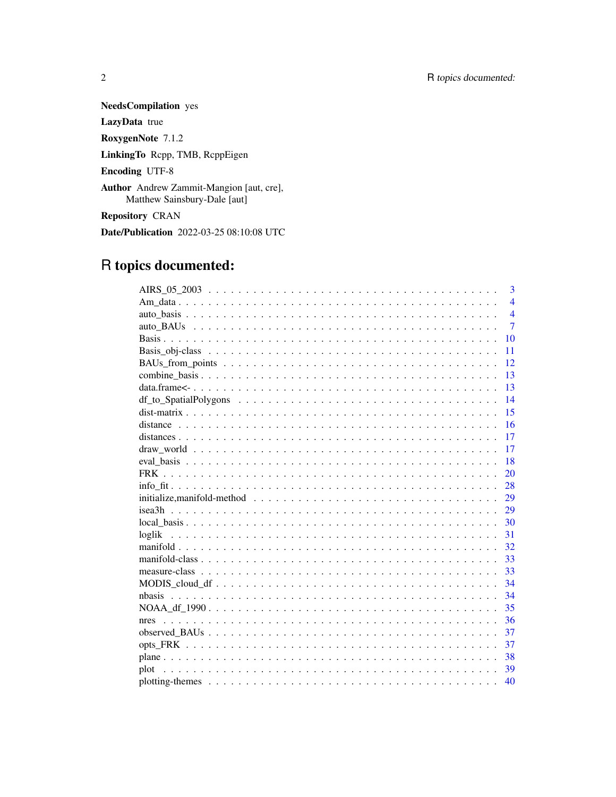**NeedsCompilation** yes

LazyData true

RoxygenNote 7.1.2

LinkingTo Rcpp, TMB, RcppEigen

**Encoding UTF-8** 

Author Andrew Zammit-Mangion [aut, cre], Matthew Sainsbury-Dale [aut]

Repository CRAN

Date/Publication 2022-03-25 08:10:08 UTC

# R topics documented:

| 3                                                                                                                       |
|-------------------------------------------------------------------------------------------------------------------------|
| $\overline{4}$                                                                                                          |
| $\overline{\mathbf{4}}$                                                                                                 |
| $\overline{7}$                                                                                                          |
| 10                                                                                                                      |
| 11                                                                                                                      |
| 12                                                                                                                      |
| 13                                                                                                                      |
| 13                                                                                                                      |
| 14                                                                                                                      |
| 15                                                                                                                      |
| 16                                                                                                                      |
| 17                                                                                                                      |
| 17                                                                                                                      |
| 18                                                                                                                      |
| 20                                                                                                                      |
| 28                                                                                                                      |
| $initialize, manifold-method \dots \dots \dots \dots \dots \dots \dots \dots \dots \dots \dots \dots \dots \dots$<br>29 |
| 29                                                                                                                      |
| 30                                                                                                                      |
| loglik<br>31                                                                                                            |
| 32                                                                                                                      |
| 33                                                                                                                      |
| 33                                                                                                                      |
| 34                                                                                                                      |
| 34                                                                                                                      |
| 35                                                                                                                      |
| 36                                                                                                                      |
| 37                                                                                                                      |
| 37                                                                                                                      |
| 38                                                                                                                      |
| plot<br>39                                                                                                              |
| 40                                                                                                                      |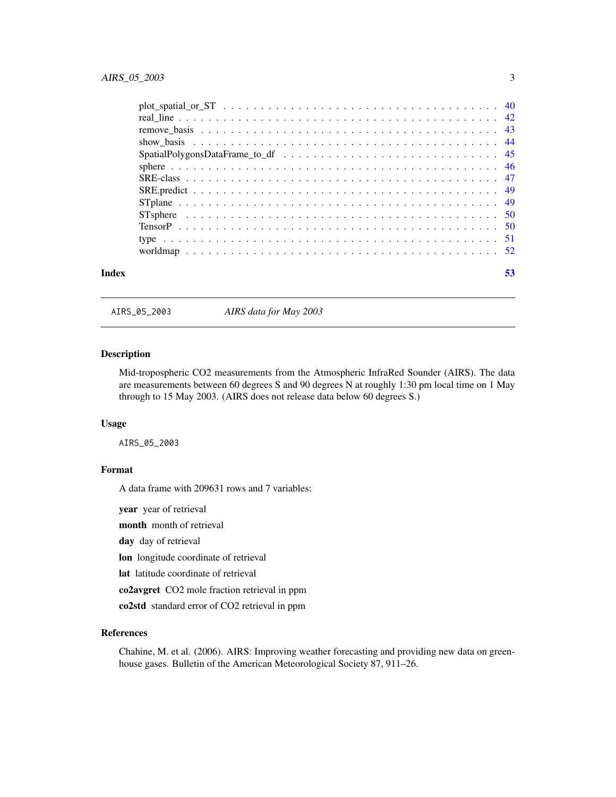<span id="page-2-0"></span>

| Index | 53 |
|-------|----|

AIRS\_05\_2003 *AIRS data for May 2003*

## Description

Mid-tropospheric CO2 measurements from the Atmospheric InfraRed Sounder (AIRS). The data are measurements between 60 degrees S and 90 degrees N at roughly 1:30 pm local time on 1 May through to 15 May 2003. (AIRS does not release data below 60 degrees S.)

#### Usage

AIRS\_05\_2003

## Format

A data frame with 209631 rows and 7 variables:

year year of retrieval month month of retrieval day day of retrieval lon longitude coordinate of retrieval lat latitude coordinate of retrieval co2avgret CO2 mole fraction retrieval in ppm co2std standard error of CO2 retrieval in ppm

#### References

Chahine, M. et al. (2006). AIRS: Improving weather forecasting and providing new data on greenhouse gases. Bulletin of the American Meteorological Society 87, 911–26.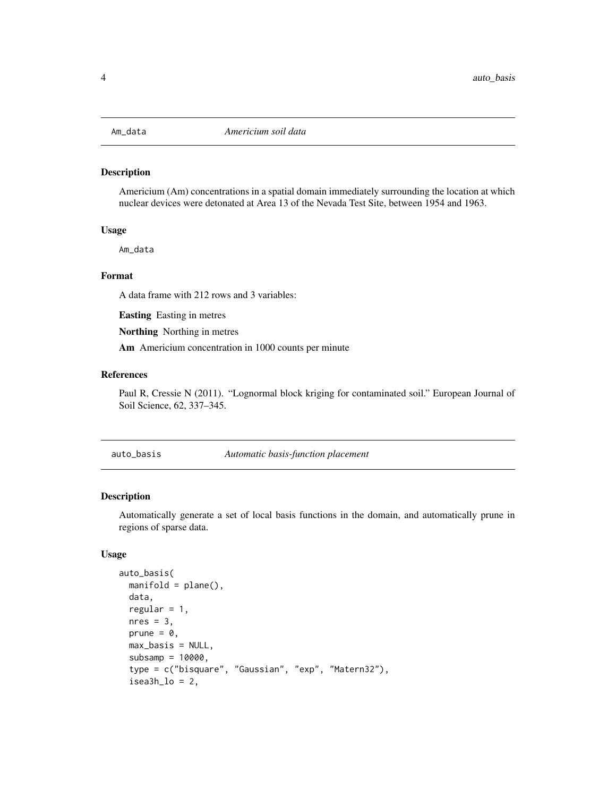<span id="page-3-0"></span>

#### Description

Americium (Am) concentrations in a spatial domain immediately surrounding the location at which nuclear devices were detonated at Area 13 of the Nevada Test Site, between 1954 and 1963.

#### Usage

Am\_data

## Format

A data frame with 212 rows and 3 variables:

Easting Easting in metres

Northing Northing in metres

Am Americium concentration in 1000 counts per minute

#### References

Paul R, Cressie N (2011). "Lognormal block kriging for contaminated soil." European Journal of Soil Science, 62, 337–345.

<span id="page-3-1"></span>auto\_basis *Automatic basis-function placement*

#### Description

Automatically generate a set of local basis functions in the domain, and automatically prune in regions of sparse data.

#### Usage

```
auto_basis(
 manifold = plane(),
  data,
  regular = 1,
 nres = 3.
 prune = \theta,
 max_basis = NULL,
  subsamp = 10000,
  type = c("bisquare", "Gaussian", "exp", "Matern32"),
  isea3h_lo = 2,
```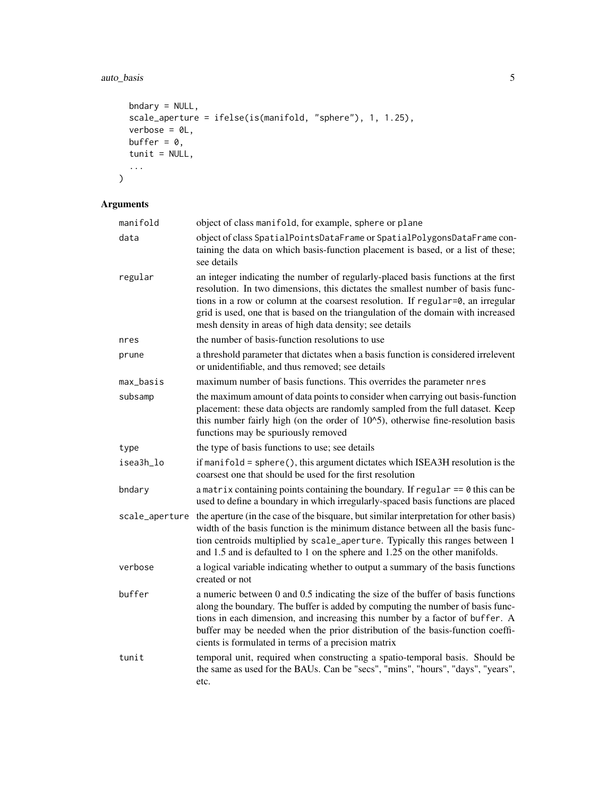## auto\_basis 5

```
bndary = NULL,
  scale_aperture = ifelse(is(manifold, "sphere"), 1, 1.25),
  verbose = 0L,
  buffer = 0,
 tunit = NUL,
  ...
\overline{)}
```
## Arguments

| manifold       | object of class manifold, for example, sphere or plane                                                                                                                                                                                                                                                                                                                                                  |
|----------------|---------------------------------------------------------------------------------------------------------------------------------------------------------------------------------------------------------------------------------------------------------------------------------------------------------------------------------------------------------------------------------------------------------|
| data           | object of class SpatialPointsDataFrame or SpatialPolygonsDataFrame con-<br>taining the data on which basis-function placement is based, or a list of these;<br>see details                                                                                                                                                                                                                              |
| regular        | an integer indicating the number of regularly-placed basis functions at the first<br>resolution. In two dimensions, this dictates the smallest number of basis func-<br>tions in a row or column at the coarsest resolution. If regular=0, an irregular<br>grid is used, one that is based on the triangulation of the domain with increased<br>mesh density in areas of high data density; see details |
| nres           | the number of basis-function resolutions to use                                                                                                                                                                                                                                                                                                                                                         |
| prune          | a threshold parameter that dictates when a basis function is considered irrelevent<br>or unidentifiable, and thus removed; see details                                                                                                                                                                                                                                                                  |
| max_basis      | maximum number of basis functions. This overrides the parameter nres                                                                                                                                                                                                                                                                                                                                    |
| subsamp        | the maximum amount of data points to consider when carrying out basis-function<br>placement: these data objects are randomly sampled from the full dataset. Keep<br>this number fairly high (on the order of $10^{\circ}5$ ), otherwise fine-resolution basis<br>functions may be spuriously removed                                                                                                    |
| type           | the type of basis functions to use; see details                                                                                                                                                                                                                                                                                                                                                         |
| isea3h_lo      | if manifold = sphere(), this argument dictates which ISEA3H resolution is the<br>coarsest one that should be used for the first resolution                                                                                                                                                                                                                                                              |
| bndary         | a matrix containing points containing the boundary. If regular $== 0$ this can be<br>used to define a boundary in which irregularly-spaced basis functions are placed                                                                                                                                                                                                                                   |
| scale_aperture | the aperture (in the case of the bisquare, but similar interpretation for other basis)<br>width of the basis function is the minimum distance between all the basis func-<br>tion centroids multiplied by scale_aperture. Typically this ranges between 1<br>and 1.5 and is defaulted to 1 on the sphere and 1.25 on the other manifolds.                                                               |
| verbose        | a logical variable indicating whether to output a summary of the basis functions<br>created or not                                                                                                                                                                                                                                                                                                      |
| buffer         | a numeric between 0 and 0.5 indicating the size of the buffer of basis functions<br>along the boundary. The buffer is added by computing the number of basis func-<br>tions in each dimension, and increasing this number by a factor of buffer. A<br>buffer may be needed when the prior distribution of the basis-function coeffi-<br>cients is formulated in terms of a precision matrix             |
| tunit          | temporal unit, required when constructing a spatio-temporal basis. Should be<br>the same as used for the BAUs. Can be "secs", "mins", "hours", "days", "years",<br>etc.                                                                                                                                                                                                                                 |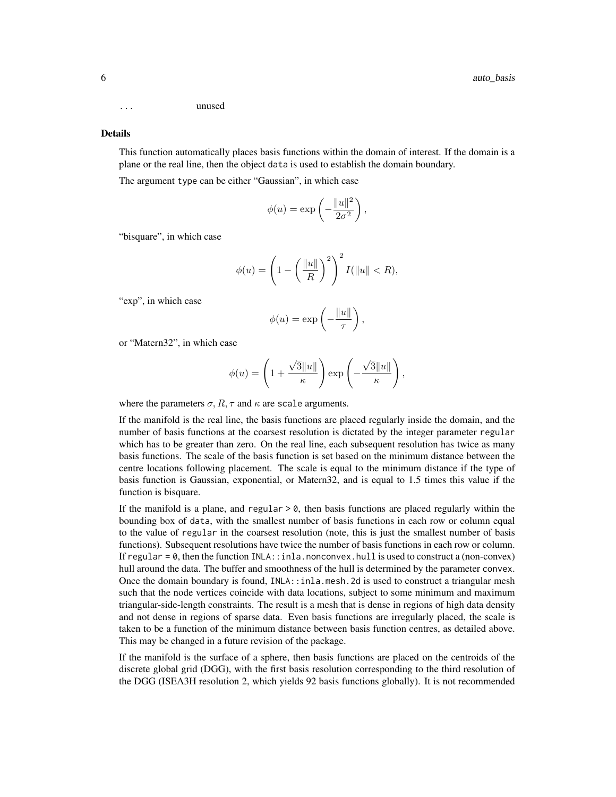... unused

#### Details

This function automatically places basis functions within the domain of interest. If the domain is a plane or the real line, then the object data is used to establish the domain boundary.

The argument type can be either "Gaussian", in which case

$$
\phi(u) = \exp\left(-\frac{\|u\|^2}{2\sigma^2}\right),\,
$$

"bisquare", in which case

$$
\phi(u) = \left(1 - \left(\frac{\|u\|}{R}\right)^2\right)^2 I(\|u\| < R),
$$

"exp", in which case

$$
\phi(u) = \exp\left(-\frac{\|u\|}{\tau}\right),\,
$$

or "Matern32", in which case

$$
\phi(u) = \left(1 + \frac{\sqrt{3}||u||}{\kappa}\right) \exp\left(-\frac{\sqrt{3}||u||}{\kappa}\right),\,
$$

where the parameters  $\sigma$ ,  $R$ ,  $\tau$  and  $\kappa$  are scale arguments.

If the manifold is the real line, the basis functions are placed regularly inside the domain, and the number of basis functions at the coarsest resolution is dictated by the integer parameter regular which has to be greater than zero. On the real line, each subsequent resolution has twice as many basis functions. The scale of the basis function is set based on the minimum distance between the centre locations following placement. The scale is equal to the minimum distance if the type of basis function is Gaussian, exponential, or Matern32, and is equal to 1.5 times this value if the function is bisquare.

If the manifold is a plane, and regular  $> 0$ , then basis functions are placed regularly within the bounding box of data, with the smallest number of basis functions in each row or column equal to the value of regular in the coarsest resolution (note, this is just the smallest number of basis functions). Subsequent resolutions have twice the number of basis functions in each row or column. If regular =  $\emptyset$ , then the function INLA: : inla.nonconvex.hull is used to construct a (non-convex) hull around the data. The buffer and smoothness of the hull is determined by the parameter convex. Once the domain boundary is found, INLA::inla.mesh.2d is used to construct a triangular mesh such that the node vertices coincide with data locations, subject to some minimum and maximum triangular-side-length constraints. The result is a mesh that is dense in regions of high data density and not dense in regions of sparse data. Even basis functions are irregularly placed, the scale is taken to be a function of the minimum distance between basis function centres, as detailed above. This may be changed in a future revision of the package.

If the manifold is the surface of a sphere, then basis functions are placed on the centroids of the discrete global grid (DGG), with the first basis resolution corresponding to the third resolution of the DGG (ISEA3H resolution 2, which yields 92 basis functions globally). It is not recommended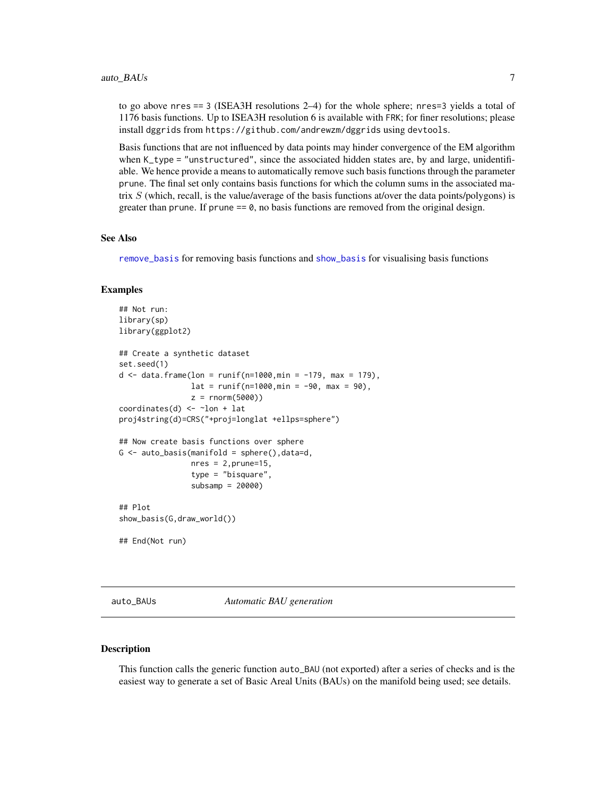<span id="page-6-0"></span>to go above nres == 3 (ISEA3H resolutions 2–4) for the whole sphere; nres=3 yields a total of 1176 basis functions. Up to ISEA3H resolution 6 is available with FRK; for finer resolutions; please install dggrids from https://github.com/andrewzm/dggrids using devtools.

Basis functions that are not influenced by data points may hinder convergence of the EM algorithm when K\_type = "unstructured", since the associated hidden states are, by and large, unidentifiable. We hence provide a means to automatically remove such basis functions through the parameter prune. The final set only contains basis functions for which the column sums in the associated matrix  $S$  (which, recall, is the value/average of the basis functions at/over the data points/polygons) is greater than prune. If prune  $= 0$ , no basis functions are removed from the original design.

## See Also

[remove\\_basis](#page-42-1) for removing basis functions and [show\\_basis](#page-43-1) for visualising basis functions

#### Examples

```
## Not run:
library(sp)
library(ggplot2)
## Create a synthetic dataset
set.seed(1)
d \le - data.frame(lon = runif(n=1000,min = -179, max = 179),
                lat = runif(n=1000, min = -90, max = 90),
                z = rnorm(5000)coordinates(d) \leq ~lon + lat
proj4string(d)=CRS("+proj=longlat +ellps=sphere")
## Now create basis functions over sphere
G \leftarrow auto\_basis(manifold = sphere(), data=d,nres = 2, prune=15,type = "bisquare",
                 subsamp = 20000)
## Plot
show_basis(G,draw_world())
## End(Not run)
```
<span id="page-6-1"></span>auto\_BAUs *Automatic BAU generation*

#### **Description**

This function calls the generic function auto\_BAU (not exported) after a series of checks and is the easiest way to generate a set of Basic Areal Units (BAUs) on the manifold being used; see details.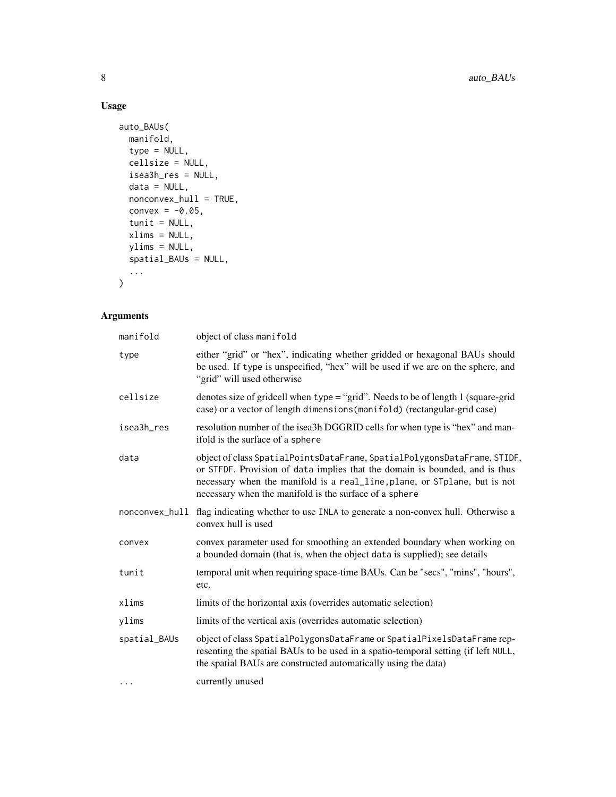## Usage

```
auto_BAUs(
  manifold,
  type = NULL,
  cellsize = NULL,
  isea3h_res = NULL,
  data = NULL,nonconvex_hull = TRUE,
  convex = -0.05,
  tunit = NULL,
  xlims = NULL,
  ylims = NULL,
  spatial_BAUs = NULL,
  ...
\mathcal{L}
```
## Arguments

| manifold     | object of class manifold                                                                                                                                                                                                                                                                       |
|--------------|------------------------------------------------------------------------------------------------------------------------------------------------------------------------------------------------------------------------------------------------------------------------------------------------|
| type         | either "grid" or "hex", indicating whether gridded or hexagonal BAUs should<br>be used. If type is unspecified, "hex" will be used if we are on the sphere, and<br>"grid" will used otherwise                                                                                                  |
| cellsize     | denotes size of gridcell when type = "grid". Needs to be of length 1 (square-grid<br>case) or a vector of length dimensions (manifold) (rectangular-grid case)                                                                                                                                 |
| isea3h_res   | resolution number of the isea3h DGGRID cells for when type is "hex" and man-<br>ifold is the surface of a sphere                                                                                                                                                                               |
| data         | object of class SpatialPointsDataFrame, SpatialPolygonsDataFrame, STIDF,<br>or STFDF. Provision of data implies that the domain is bounded, and is thus<br>necessary when the manifold is a real_line, plane, or STplane, but is not<br>necessary when the manifold is the surface of a sphere |
|              | nonconvex_hull flag indicating whether to use INLA to generate a non-convex hull. Otherwise a<br>convex hull is used                                                                                                                                                                           |
| convex       | convex parameter used for smoothing an extended boundary when working on<br>a bounded domain (that is, when the object data is supplied); see details                                                                                                                                          |
| tunit        | temporal unit when requiring space-time BAUs. Can be "secs", "mins", "hours",<br>etc.                                                                                                                                                                                                          |
| xlims        | limits of the horizontal axis (overrides automatic selection)                                                                                                                                                                                                                                  |
| ylims        | limits of the vertical axis (overrides automatic selection)                                                                                                                                                                                                                                    |
| spatial_BAUs | object of class SpatialPolygonsDataFrame or SpatialPixelsDataFrame rep-<br>resenting the spatial BAUs to be used in a spatio-temporal setting (if left NULL,<br>the spatial BAUs are constructed automatically using the data)                                                                 |
| $\ddots$     | currently unused                                                                                                                                                                                                                                                                               |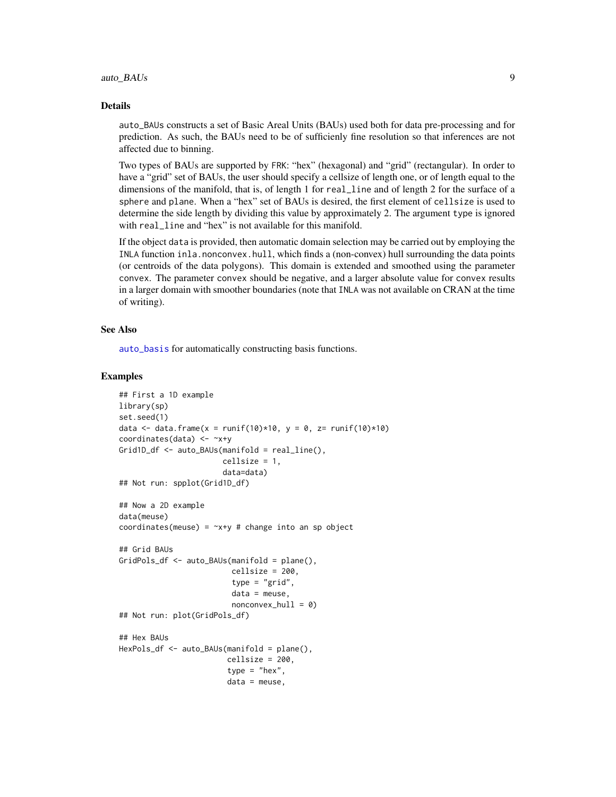#### <span id="page-8-0"></span>Details

auto\_BAUs constructs a set of Basic Areal Units (BAUs) used both for data pre-processing and for prediction. As such, the BAUs need to be of sufficienly fine resolution so that inferences are not affected due to binning.

Two types of BAUs are supported by FRK: "hex" (hexagonal) and "grid" (rectangular). In order to have a "grid" set of BAUs, the user should specify a cellsize of length one, or of length equal to the dimensions of the manifold, that is, of length 1 for real\_line and of length 2 for the surface of a sphere and plane. When a "hex" set of BAUs is desired, the first element of cellsize is used to determine the side length by dividing this value by approximately 2. The argument type is ignored with real\_line and "hex" is not available for this manifold.

If the object data is provided, then automatic domain selection may be carried out by employing the INLA function inla.nonconvex.hull, which finds a (non-convex) hull surrounding the data points (or centroids of the data polygons). This domain is extended and smoothed using the parameter convex. The parameter convex should be negative, and a larger absolute value for convex results in a larger domain with smoother boundaries (note that INLA was not available on CRAN at the time of writing).

#### See Also

[auto\\_basis](#page-3-1) for automatically constructing basis functions.

#### Examples

```
## First a 1D example
library(sp)
set.seed(1)
data \leq data.frame(x = runif(10)*10, y = 0, z= runif(10)*10)
coordinates(data) <- ~x+y
Grid1D_df <- auto_BAUs(manifold = real_line(),
                       cellsize = 1,
                       data=data)
## Not run: spplot(Grid1D_df)
## Now a 2D example
data(meuse)
coordinates(meuse) = -x+y # change into an sp object
## Grid BAUs
GridPols_df <- auto_BAUs(manifold = plane(),
                         cellsize = 200,
                         type = "grid",
                         data = meuse,
                         nonconvex_hull = 0## Not run: plot(GridPols_df)
## Hex BAUs
HexPols_df <- auto_BAUs(manifold = plane(),
                        cellsize = 200,
                        type = "hex",
                        data = meuse,
```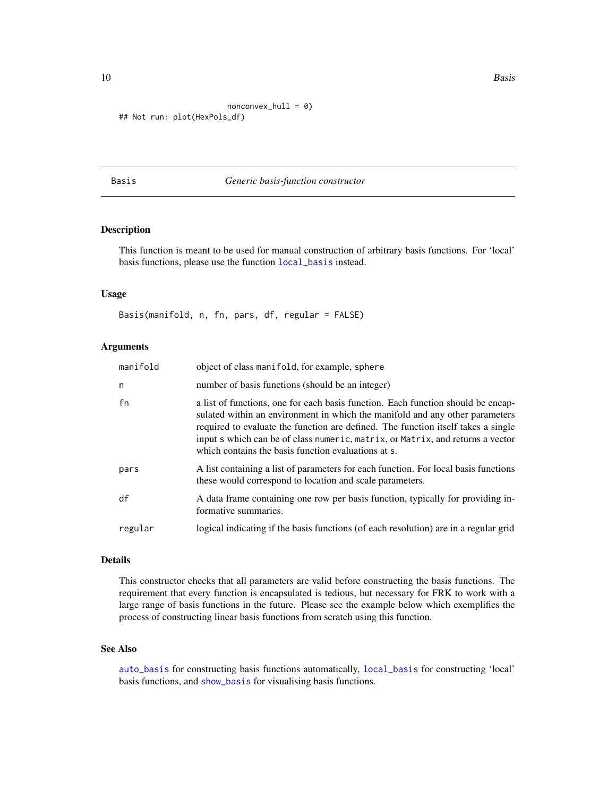10 Basis

```
nonconvex_hull = 0)
## Not run: plot(HexPols_df)
```
## Basis *Generic basis-function constructor*

## Description

This function is meant to be used for manual construction of arbitrary basis functions. For 'local' basis functions, please use the function [local\\_basis](#page-29-1) instead.

#### Usage

Basis(manifold, n, fn, pars, df, regular = FALSE)

## Arguments

| manifold | object of class manifold, for example, sphere                                                                                                                                                                                                                                                                                                                                                  |
|----------|------------------------------------------------------------------------------------------------------------------------------------------------------------------------------------------------------------------------------------------------------------------------------------------------------------------------------------------------------------------------------------------------|
| n        | number of basis functions (should be an integer)                                                                                                                                                                                                                                                                                                                                               |
| fn       | a list of functions, one for each basis function. Each function should be encap-<br>sulated within an environment in which the manifold and any other parameters<br>required to evaluate the function are defined. The function itself takes a single<br>input s which can be of class numeric, matrix, or Matrix, and returns a vector<br>which contains the basis function evaluations at s. |
| pars     | A list containing a list of parameters for each function. For local basis functions<br>these would correspond to location and scale parameters.                                                                                                                                                                                                                                                |
| df       | A data frame containing one row per basis function, typically for providing in-<br>formative summaries.                                                                                                                                                                                                                                                                                        |
| regular  | logical indicating if the basis functions (of each resolution) are in a regular grid                                                                                                                                                                                                                                                                                                           |

#### Details

This constructor checks that all parameters are valid before constructing the basis functions. The requirement that every function is encapsulated is tedious, but necessary for FRK to work with a large range of basis functions in the future. Please see the example below which exemplifies the process of constructing linear basis functions from scratch using this function.

#### See Also

[auto\\_basis](#page-3-1) for constructing basis functions automatically, [local\\_basis](#page-29-1) for constructing 'local' basis functions, and [show\\_basis](#page-43-1) for visualising basis functions.

<span id="page-9-0"></span>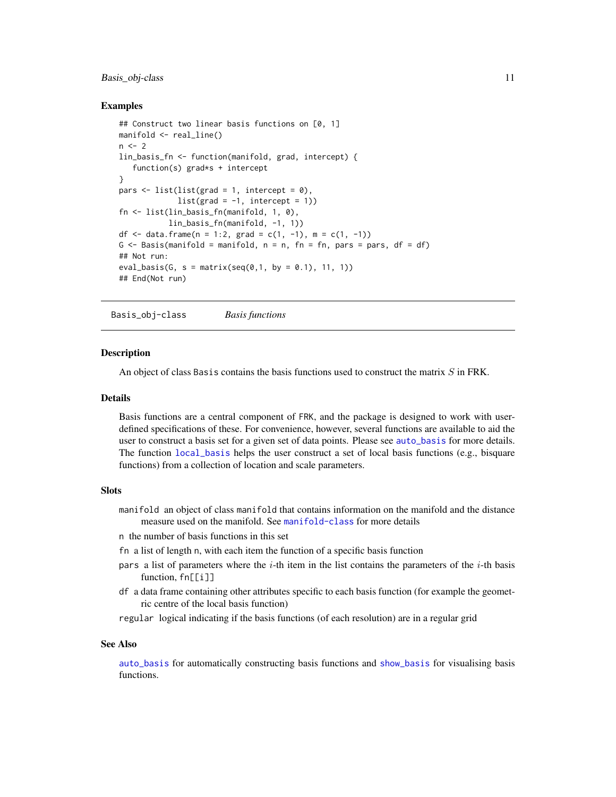#### <span id="page-10-0"></span>Basis\_obj-class 11

#### Examples

```
## Construct two linear basis functions on [0, 1]
manifold <- real_line()
n < -2lin_basis_fn <- function(manifold, grad, intercept) {
   function(s) grad*s + intercept
}
pars \le list(list(grad = 1, intercept = 0),
             list(grad = -1, intercept = 1)fn <- list(lin_basis_fn(manifold, 1, 0),
           lin_basis_fn(manifold, -1, 1))
df <- data.frame(n = 1:2, grad = c(1, -1), m = c(1, -1))
G \leq Basis(manifold = manifold, n = n, fn = fn, pars = pars, df = df)
## Not run:
eval_basis(G, s = matrix(seq(0, 1, by = 0.1), 11, 1))## End(Not run)
```
Basis\_obj-class *Basis functions*

#### **Description**

An object of class Basis contains the basis functions used to construct the matrix  $S$  in FRK.

#### Details

Basis functions are a central component of FRK, and the package is designed to work with userdefined specifications of these. For convenience, however, several functions are available to aid the user to construct a basis set for a given set of data points. Please see [auto\\_basis](#page-3-1) for more details. The function [local\\_basis](#page-29-1) helps the user construct a set of local basis functions (e.g., bisquare functions) from a collection of location and scale parameters.

#### Slots

- manifold an object of class manifold that contains information on the manifold and the distance measure used on the manifold. See [manifold-class](#page-32-1) for more details
- n the number of basis functions in this set
- fn a list of length n, with each item the function of a specific basis function
- pars a list of parameters where the  $i$ -th item in the list contains the parameters of the  $i$ -th basis function, fn[[i]]
- df a data frame containing other attributes specific to each basis function (for example the geometric centre of the local basis function)
- regular logical indicating if the basis functions (of each resolution) are in a regular grid

## See Also

[auto\\_basis](#page-3-1) for automatically constructing basis functions and [show\\_basis](#page-43-1) for visualising basis functions.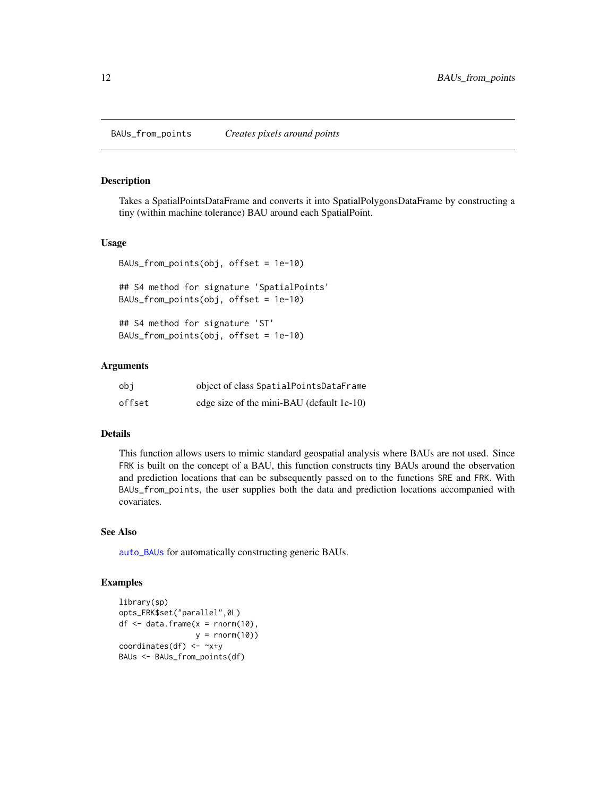#### <span id="page-11-0"></span>Description

Takes a SpatialPointsDataFrame and converts it into SpatialPolygonsDataFrame by constructing a tiny (within machine tolerance) BAU around each SpatialPoint.

#### Usage

```
BAUs_from_points(obj, offset = 1e-10)
## S4 method for signature 'SpatialPoints'
BAUs_from_points(obj, offset = 1e-10)
## S4 method for signature 'ST'
BAUs_from_points(obj, offset = 1e-10)
```
#### Arguments

| obi    | object of class SpatialPointsDataFrame    |
|--------|-------------------------------------------|
| offset | edge size of the mini-BAU (default 1e-10) |

#### Details

This function allows users to mimic standard geospatial analysis where BAUs are not used. Since FRK is built on the concept of a BAU, this function constructs tiny BAUs around the observation and prediction locations that can be subsequently passed on to the functions SRE and FRK. With BAUs\_from\_points, the user supplies both the data and prediction locations accompanied with covariates.

## See Also

[auto\\_BAUs](#page-6-1) for automatically constructing generic BAUs.

## Examples

```
library(sp)
opts_FRK$set("parallel",0L)
df \leq data.frame(x = rnorm(10),
                 y = \text{norm}(10)coordinates(df) \leq -x+yBAUs <- BAUs_from_points(df)
```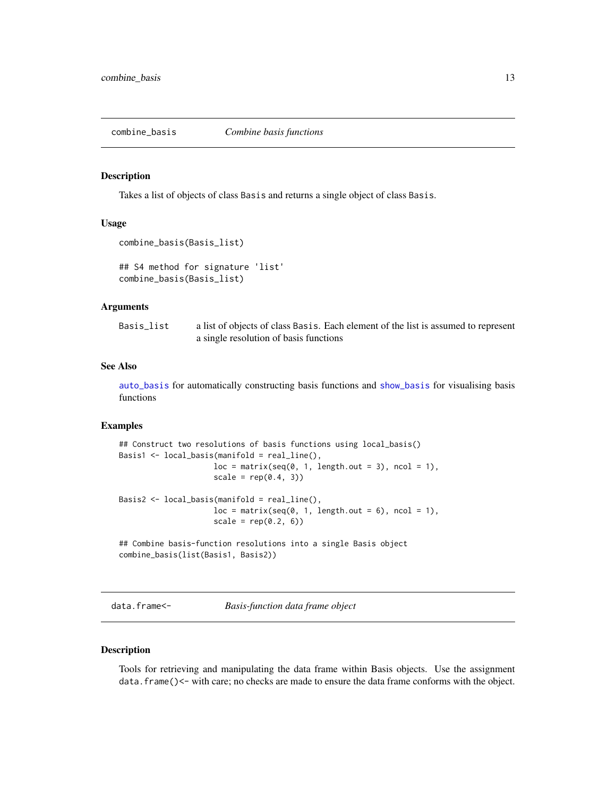<span id="page-12-0"></span>combine\_basis *Combine basis functions*

#### Description

Takes a list of objects of class Basis and returns a single object of class Basis.

#### Usage

```
combine_basis(Basis_list)
```

```
## S4 method for signature 'list'
combine_basis(Basis_list)
```
#### Arguments

| Basis_list | a list of objects of class Basis. Each element of the list is assumed to represent |
|------------|------------------------------------------------------------------------------------|
|            | a single resolution of basis functions                                             |

#### See Also

[auto\\_basis](#page-3-1) for automatically constructing basis functions and [show\\_basis](#page-43-1) for visualising basis functions

## Examples

```
## Construct two resolutions of basis functions using local_basis()
Basis1 <- local_basis(manifold = real_line(),
                    loc = matrix(seq(0, 1, length.out = 3), ncol = 1),scale = rep(0.4, 3))Basis2 <- local_basis(manifold = real_line(),
                    loc = matrix(seq(0, 1, length.out = 6), ncol = 1),scale = rep(0.2, 6))## Combine basis-function resolutions into a single Basis object
combine_basis(list(Basis1, Basis2))
```
data.frame<- *Basis-function data frame object*

#### Description

Tools for retrieving and manipulating the data frame within Basis objects. Use the assignment data. frame()<- with care; no checks are made to ensure the data frame conforms with the object.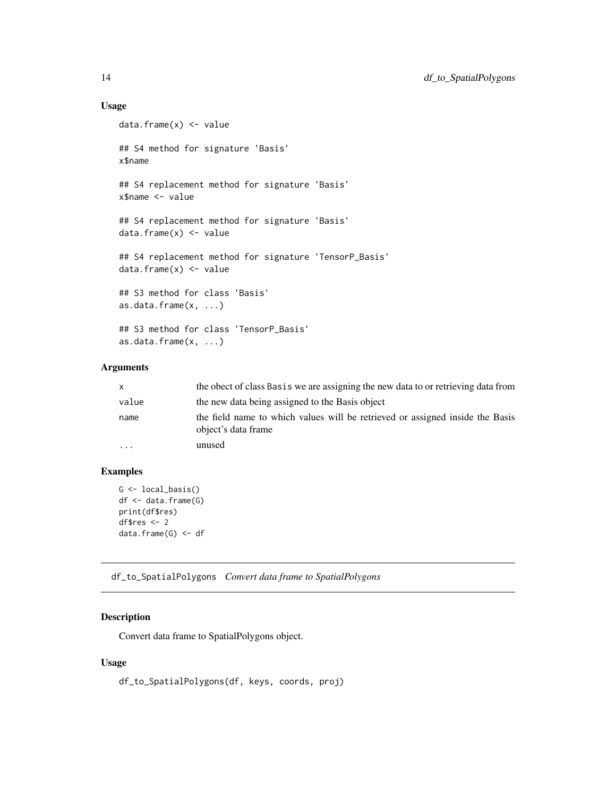## Usage

```
data.frame(x) <- value
## S4 method for signature 'Basis'
x$name
## S4 replacement method for signature 'Basis'
x$name <- value
## S4 replacement method for signature 'Basis'
data.frame(x) <- value
## S4 replacement method for signature 'TensorP_Basis'
data.frame(x) <- value
## S3 method for class 'Basis'
as.data.frame(x, ...)
## S3 method for class 'TensorP_Basis'
as.data.frame(x, ...)
```
## Arguments

| X         | the obect of class Basis we are assigning the new data to or retrieving data from                    |
|-----------|------------------------------------------------------------------------------------------------------|
| value     | the new data being assigned to the Basis object                                                      |
| name      | the field name to which values will be retrieved or assigned inside the Basis<br>object's data frame |
| $\ddotsc$ | unused                                                                                               |

## Examples

```
G \leftarrow local_basis()df <- data.frame(G)
print(df$res)
df$res <- 2
data.frame(G) <- df
```
df\_to\_SpatialPolygons *Convert data frame to SpatialPolygons*

## Description

Convert data frame to SpatialPolygons object.

#### Usage

```
df_to_SpatialPolygons(df, keys, coords, proj)
```
<span id="page-13-0"></span>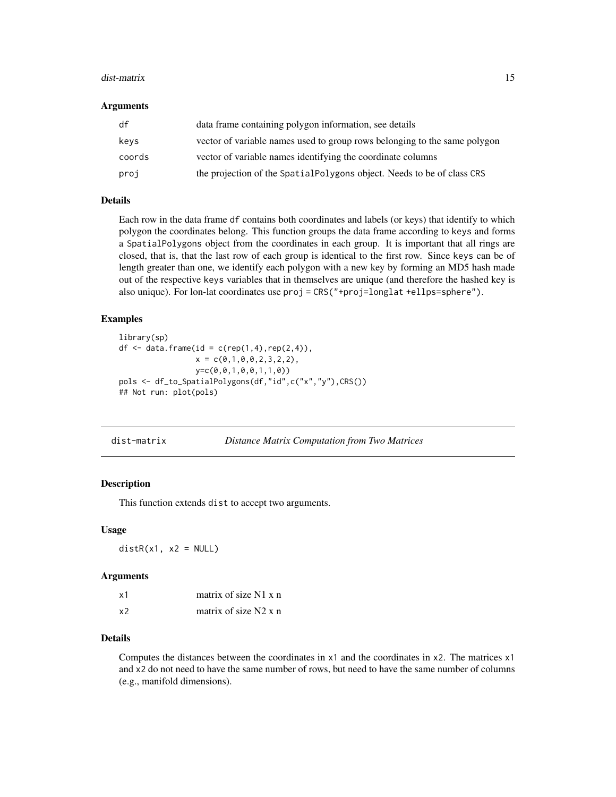#### <span id="page-14-0"></span>dist-matrix 15

#### **Arguments**

| df     | data frame containing polygon information, see details                    |
|--------|---------------------------------------------------------------------------|
| keys   | vector of variable names used to group rows belonging to the same polygon |
| coords | vector of variable names identifying the coordinate columns               |
| proj   | the projection of the Spatial Polygons object. Needs to be of class CRS   |

## Details

Each row in the data frame df contains both coordinates and labels (or keys) that identify to which polygon the coordinates belong. This function groups the data frame according to keys and forms a SpatialPolygons object from the coordinates in each group. It is important that all rings are closed, that is, that the last row of each group is identical to the first row. Since keys can be of length greater than one, we identify each polygon with a new key by forming an MD5 hash made out of the respective keys variables that in themselves are unique (and therefore the hashed key is also unique). For lon-lat coordinates use proj = CRS("+proj=longlat +ellps=sphere").

### Examples

```
library(sp)
df \leq data.frame(id = c(rep(1,4),rep(2,4)),
                 x = c(0,1,0,0,2,3,2,2),y=c(0,0,1,0,0,1,1,0))
pols <- df_to_SpatialPolygons(df,"id",c("x","y"),CRS())
## Not run: plot(pols)
```
dist-matrix *Distance Matrix Computation from Two Matrices*

#### **Description**

This function extends dist to accept two arguments.

#### Usage

 $distR(x1, x2 = NULL)$ 

#### Arguments

| x1 | matrix of size $N1 x n$ |
|----|-------------------------|
| x2 | matrix of size $N2 x n$ |

## Details

Computes the distances between the coordinates in x1 and the coordinates in x2. The matrices x1 and x2 do not need to have the same number of rows, but need to have the same number of columns (e.g., manifold dimensions).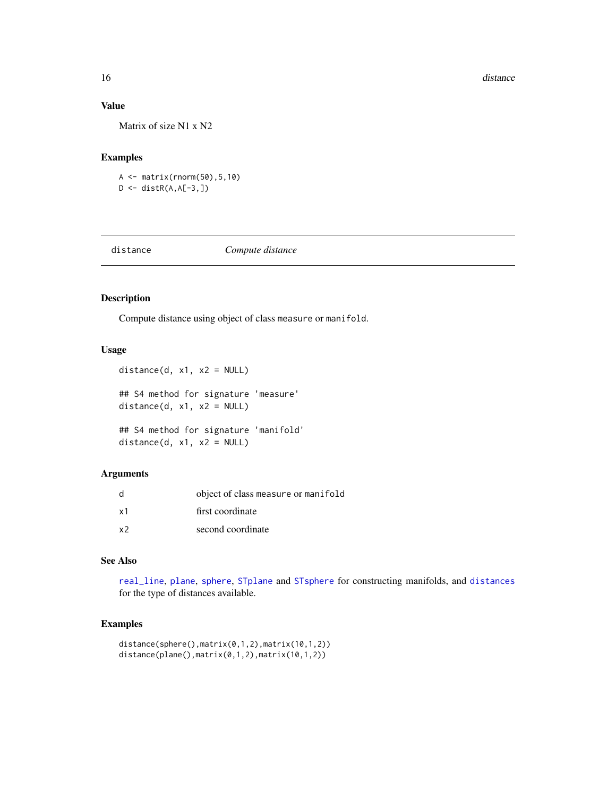## Value

Matrix of size N1 x N2

## Examples

A <- matrix(rnorm(50),5,10) D <- distR(A,A[-3,])

<span id="page-15-1"></span>

distance *Compute distance*

## Description

Compute distance using object of class measure or manifold.

## Usage

```
distance(d, x1, x2 = NULL)
## S4 method for signature 'measure'
distance(d, x1, x2 = NULL)## S4 method for signature 'manifold'
distance(d, x1, x2 = NULL)
```
## Arguments

| d              | object of class measure or manifold |
|----------------|-------------------------------------|
| x1             | first coordinate                    |
| x <sub>2</sub> | second coordinate                   |

## See Also

[real\\_line](#page-41-1), [plane](#page-37-1), [sphere](#page-45-1), [STplane](#page-48-1) and [STsphere](#page-49-1) for constructing manifolds, and [distances](#page-16-1) for the type of distances available.

### Examples

```
distance(sphere(),matrix(0,1,2),matrix(10,1,2))
distance(plane(),matrix(0,1,2),matrix(10,1,2))
```
<span id="page-15-0"></span>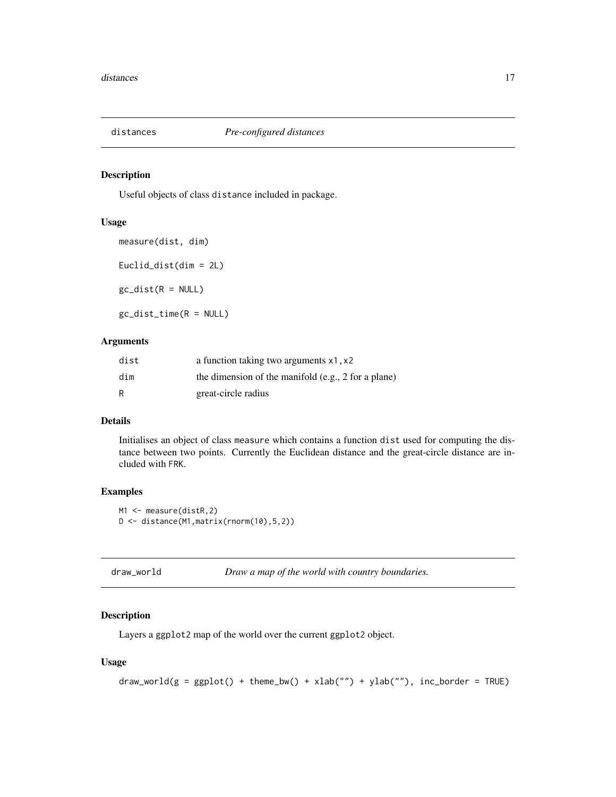<span id="page-16-1"></span><span id="page-16-0"></span>

#### <span id="page-16-2"></span>Description

Useful objects of class distance included in package.

## Usage

```
measure(dist, dim)
Euclid_dist(dim = 2L)
gc\_dist(R = NULL)gc_dist_time(R = NULL)
```
#### Arguments

| dist | a function taking two arguments x1, x2                |
|------|-------------------------------------------------------|
| dim  | the dimension of the manifold $(e.g., 2 for a plane)$ |
| R    | great-circle radius                                   |

## Details

Initialises an object of class measure which contains a function dist used for computing the distance between two points. Currently the Euclidean distance and the great-circle distance are included with FRK.

## Examples

```
M1 <- measure(distR, 2)
D <- distance(M1,matrix(rnorm(10),5,2))
```
<span id="page-16-3"></span>

## Description

Layers a ggplot2 map of the world over the current ggplot2 object.

## Usage

```
draw_world(g = ggplot() + theme_bw() + xlab("") + ylab(""), inc_border = TRUE)
```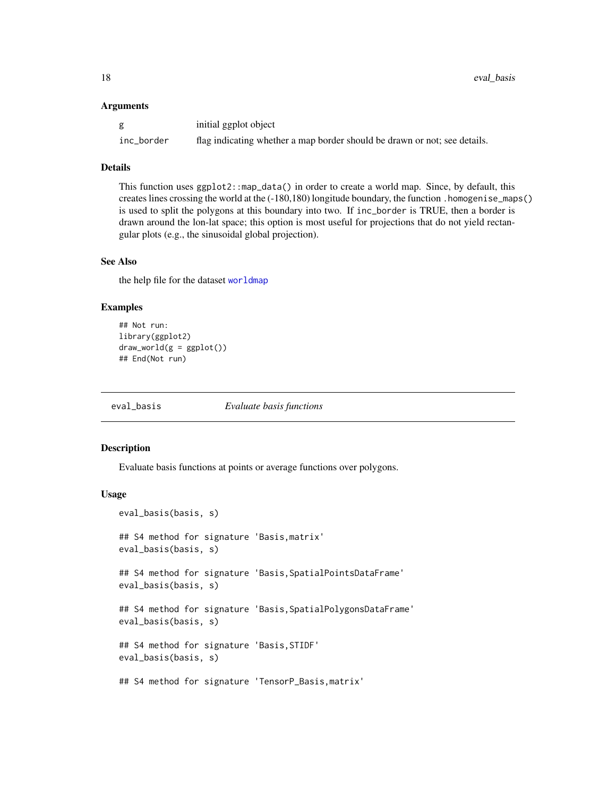#### <span id="page-17-0"></span>**Arguments**

|            | initial ggplot object                                                     |
|------------|---------------------------------------------------------------------------|
| inc_border | flag indicating whether a map border should be drawn or not; see details. |

### Details

This function uses ggplot2::map\_data() in order to create a world map. Since, by default, this creates lines crossing the world at the (-180,180) longitude boundary, the function .homogenise\_maps() is used to split the polygons at this boundary into two. If inc\_border is TRUE, then a border is drawn around the lon-lat space; this option is most useful for projections that do not yield rectangular plots (e.g., the sinusoidal global projection).

## See Also

the help file for the dataset [worldmap](#page-51-1)

#### Examples

```
## Not run:
library(ggplot2)
draw_word(g = gghot())## End(Not run)
```
eval\_basis *Evaluate basis functions*

#### Description

Evaluate basis functions at points or average functions over polygons.

#### Usage

```
eval_basis(basis, s)
## S4 method for signature 'Basis,matrix'
eval_basis(basis, s)
## S4 method for signature 'Basis,SpatialPointsDataFrame'
eval_basis(basis, s)
## S4 method for signature 'Basis,SpatialPolygonsDataFrame'
eval_basis(basis, s)
## S4 method for signature 'Basis,STIDF'
eval_basis(basis, s)
## S4 method for signature 'TensorP_Basis,matrix'
```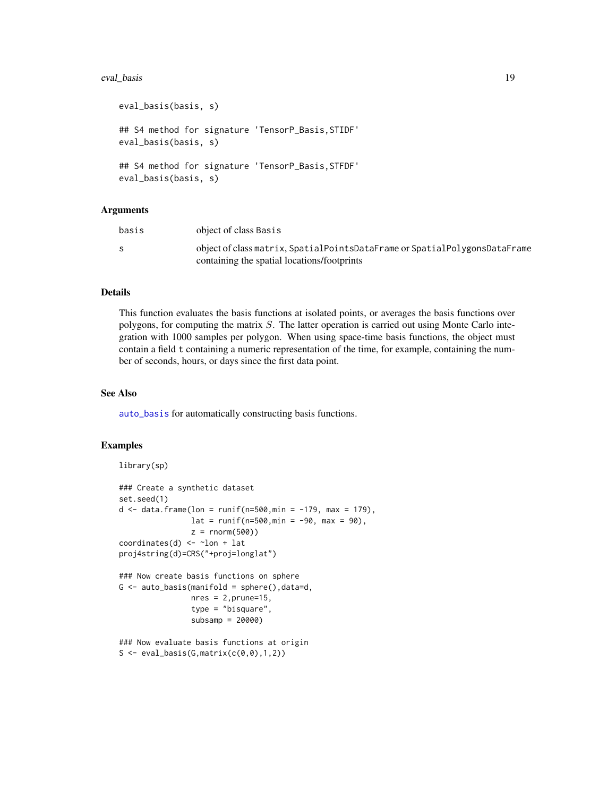#### <span id="page-18-0"></span>eval\_basis 19

```
eval_basis(basis, s)
## S4 method for signature 'TensorP_Basis,STIDF'
eval_basis(basis, s)
## S4 method for signature 'TensorP_Basis,STFDF'
eval_basis(basis, s)
```
#### Arguments

| basis | object of class Basis                                                      |
|-------|----------------------------------------------------------------------------|
| S     | object of class matrix, SpatialPointsDataFrame or SpatialPolygonsDataFrame |
|       | containing the spatial locations/footprints                                |

## Details

This function evaluates the basis functions at isolated points, or averages the basis functions over polygons, for computing the matrix S. The latter operation is carried out using Monte Carlo integration with 1000 samples per polygon. When using space-time basis functions, the object must contain a field t containing a numeric representation of the time, for example, containing the number of seconds, hours, or days since the first data point.

#### See Also

[auto\\_basis](#page-3-1) for automatically constructing basis functions.

#### Examples

```
library(sp)
### Create a synthetic dataset
set.seed(1)
d \le - data.frame(lon = runif(n=500,min = -179, max = 179),
                 lat = runif(n=500, min = -90, max = 90),
                 z = \text{norm}(500)coordinates(d) <- ~lon + lat
proj4string(d)=CRS("+proj=longlat")
### Now create basis functions on sphere
G \leftarrow auto\_basis(manifold = sphere(), data=d,nres = 2, prune=15,type = "bisquare",
                 subsamp = 20000)
### Now evaluate basis functions at origin
S \leftarrow eval_basis(G, matrix(c(0, 0), 1, 2))
```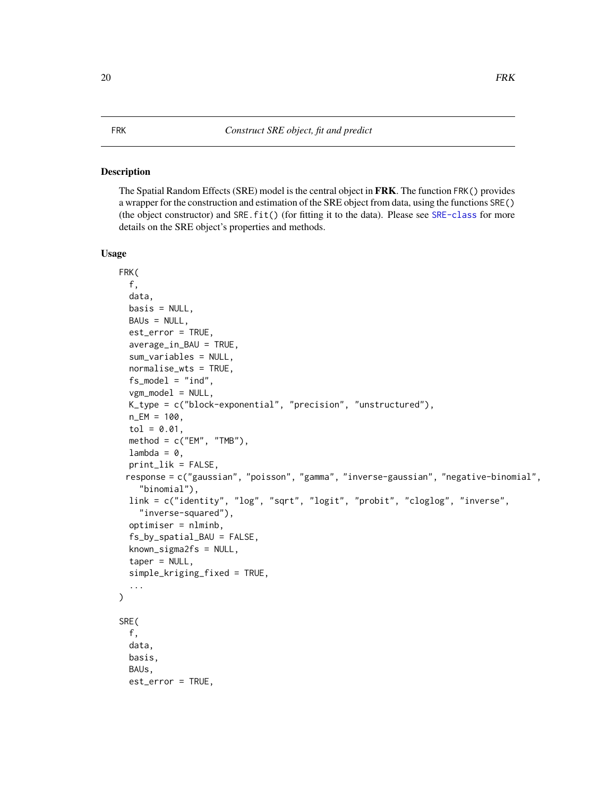#### <span id="page-19-2"></span><span id="page-19-1"></span><span id="page-19-0"></span>Description

The Spatial Random Effects (SRE) model is the central object in FRK. The function FRK() provides a wrapper for the construction and estimation of the SRE object from data, using the functions SRE() (the object constructor) and SRE.fit() (for fitting it to the data). Please see [SRE-class](#page-46-1) for more details on the SRE object's properties and methods.

## Usage

```
FRK(
  f,
  data,
  basis = NULL,BAUs = NULL,
  est_error = TRUE,
  average_in_BAU = TRUE,
  sum_variables = NULL,
  normalise_wts = TRUE,
  fs\_model = "ind",vgm_model = NULL,K_type = c("block-exponential", "precision", "unstructured"),
  n EM = 100,
  tol = 0.01,method = c("EM", "TMB"),
  lambda = 0,
  print_lik = FALSE,
 response = c("gaussian", "poisson", "gamma", "inverse-gaussian", "negative-binomial",
    "binomial"),
  link = c("identity", "log", "sqrt", "logit", "probit", "cloglog", "inverse",
    "inverse-squared"),
  optimiser = nlminb,
  fs_by_spatial_BAU = FALSE,
  known\_sigma2fs = NULL,taper = NULL,
  simple_kriging_fixed = TRUE,
  ...
)
SRE(
  f,
  data,
  basis,
  BAUs,
  est_error = TRUE,
```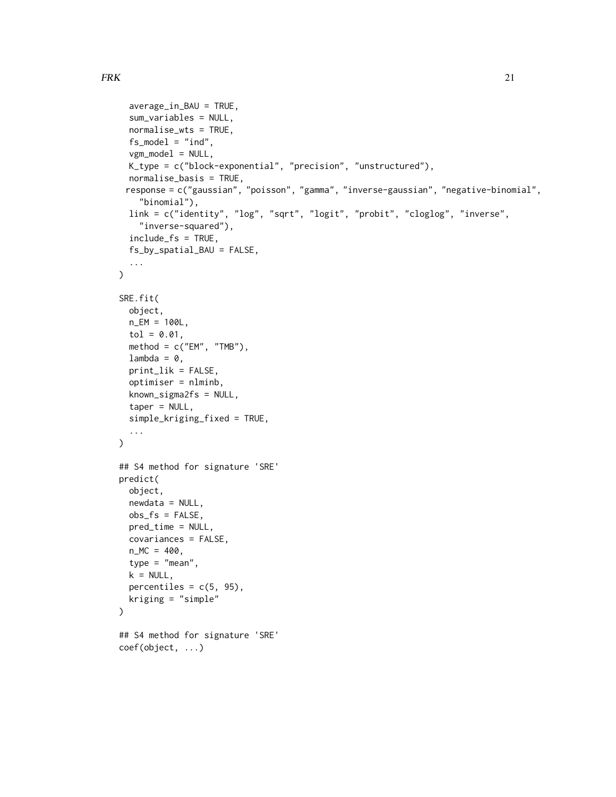```
average_in_BAU = TRUE,
  sum_variables = NULL,
  normalise_wts = TRUE,
  fs\_model = "ind",vgm_model = NULL,
  K_type = c("block-exponential", "precision", "unstructured"),
  normalise_basis = TRUE,
 response = c("gaussian", "poisson", "gamma", "inverse-gaussian", "negative-binomial",
    "binomial"),
  link = c("identity", "log", "sqrt", "logit", "probit", "cloglog", "inverse",
    "inverse-squared"),
  include_fs = TRUE,
  fs_by_spatial_BAU = FALSE,
  ...
\mathcal{L}SRE.fit(
 object,
 n_EM = 100L,
  tol = 0.01,
 method = c("EM", "TMB"),
  lambda = 0,
  print_lik = FALSE,
  optimiser = nlminb,
  known_sigma2fs = NULL,
  taper = NULL,
  simple_kriging_fixed = TRUE,
  ...
\mathcal{L}## S4 method for signature 'SRE'
predict(
  object,
  newdata = NULL,
  obs_fs = FALSE,
  pred_time = NULL,
  covariances = FALSE,
  n_MC = 400,
  type = "mean",k = NULL,percentiles = c(5, 95),
 kriging = "simple"
\lambda## S4 method for signature 'SRE'
coef(object, ...)
```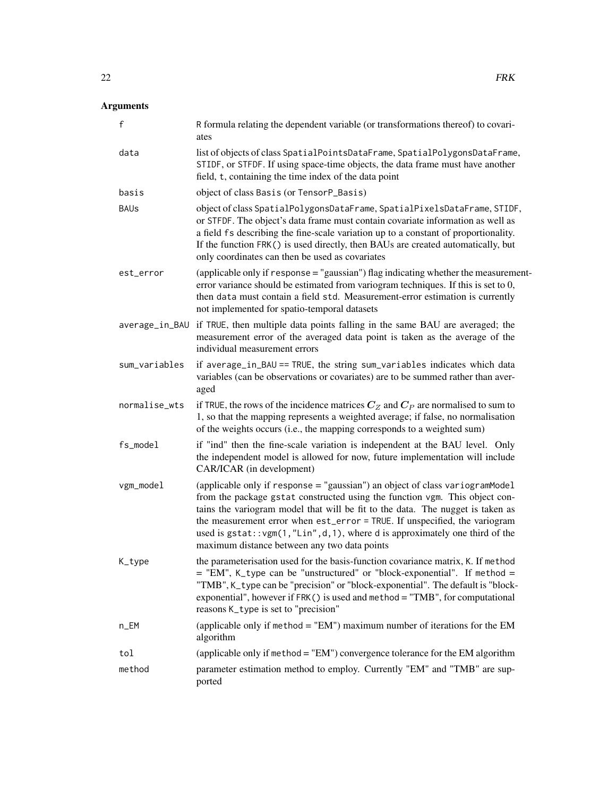## Arguments

| $\mathsf f$   | R formula relating the dependent variable (or transformations thereof) to covari-<br>ates                                                                                                                                                                                                                                                                                                                                                                    |
|---------------|--------------------------------------------------------------------------------------------------------------------------------------------------------------------------------------------------------------------------------------------------------------------------------------------------------------------------------------------------------------------------------------------------------------------------------------------------------------|
| data          | list of objects of class SpatialPointsDataFrame, SpatialPolygonsDataFrame,<br>STIDF, or STFDF. If using space-time objects, the data frame must have another<br>field, t, containing the time index of the data point                                                                                                                                                                                                                                        |
| basis         | object of class Basis (or TensorP_Basis)                                                                                                                                                                                                                                                                                                                                                                                                                     |
| <b>BAUs</b>   | object of class SpatialPolygonsDataFrame, SpatialPixelsDataFrame, STIDF,<br>or STFDF. The object's data frame must contain covariate information as well as<br>a field fs describing the fine-scale variation up to a constant of proportionality.<br>If the function FRK() is used directly, then BAUs are created automatically, but<br>only coordinates can then be used as covariates                                                                    |
| est_error     | (applicable only if response = "gaussian") flag indicating whether the measurement-<br>error variance should be estimated from variogram techniques. If this is set to 0,<br>then data must contain a field std. Measurement-error estimation is currently<br>not implemented for spatio-temporal datasets                                                                                                                                                   |
|               | average_in_BAU if TRUE, then multiple data points falling in the same BAU are averaged; the<br>measurement error of the averaged data point is taken as the average of the<br>individual measurement errors                                                                                                                                                                                                                                                  |
| sum_variables | if average_in_BAU == TRUE, the string sum_variables indicates which data<br>variables (can be observations or covariates) are to be summed rather than aver-<br>aged                                                                                                                                                                                                                                                                                         |
| normalise_wts | if TRUE, the rows of the incidence matrices $C_Z$ and $C_P$ are normalised to sum to<br>1, so that the mapping represents a weighted average; if false, no normalisation<br>of the weights occurs (i.e., the mapping corresponds to a weighted sum)                                                                                                                                                                                                          |
| fs_model      | if "ind" then the fine-scale variation is independent at the BAU level. Only<br>the independent model is allowed for now, future implementation will include<br>CAR/ICAR (in development)                                                                                                                                                                                                                                                                    |
| vgm_model     | (applicable only if response = "gaussian") an object of class variogramModel<br>from the package gstat constructed using the function vgm. This object con-<br>tains the variogram model that will be fit to the data. The nugget is taken as<br>the measurement error when est_error = TRUE. If unspecified, the variogram<br>used is gstat:: vgm(1,"Lin", d, 1), where d is approximately one third of the<br>maximum distance between any two data points |
| K_type        | the parameterisation used for the basis-function covariance matrix, K. If method<br>= "EM", K_type can be "unstructured" or "block-exponential". If method =<br>"TMB", K_type can be "precision" or "block-exponential". The default is "block-<br>exponential", however if $FRK()$ is used and method = "TMB", for computational<br>reasons K_type is set to "precision"                                                                                    |
| n_EM          | (applicable only if method = $"EM"$ ) maximum number of iterations for the EM<br>algorithm                                                                                                                                                                                                                                                                                                                                                                   |
| tol           | (applicable only if method = "EM") convergence tolerance for the EM algorithm                                                                                                                                                                                                                                                                                                                                                                                |
| method        | parameter estimation method to employ. Currently "EM" and "TMB" are sup-<br>ported                                                                                                                                                                                                                                                                                                                                                                           |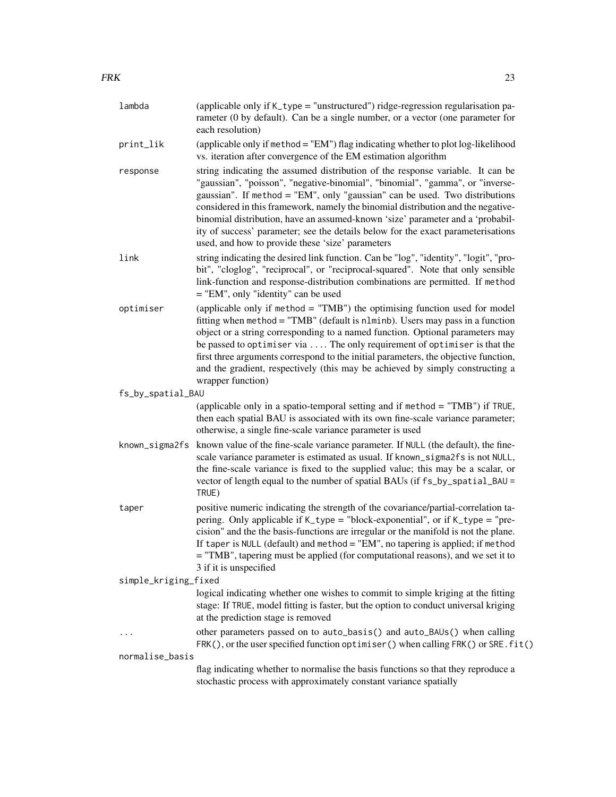| lambda               | (applicable only if K_type = "unstructured") ridge-regression regularisation pa-<br>rameter (0 by default). Can be a single number, or a vector (one parameter for<br>each resolution)                                                                                                                                                                                                                                                                                                                                                                       |
|----------------------|--------------------------------------------------------------------------------------------------------------------------------------------------------------------------------------------------------------------------------------------------------------------------------------------------------------------------------------------------------------------------------------------------------------------------------------------------------------------------------------------------------------------------------------------------------------|
| print_lik            | (applicable only if method = "EM") flag indicating whether to plot log-likelihood<br>vs. iteration after convergence of the EM estimation algorithm                                                                                                                                                                                                                                                                                                                                                                                                          |
| response             | string indicating the assumed distribution of the response variable. It can be<br>"gaussian", "poisson", "negative-binomial", "binomial", "gamma", or "inverse-<br>gaussian". If method = "EM", only "gaussian" can be used. Two distributions<br>considered in this framework, namely the binomial distribution and the negative-<br>binomial distribution, have an assumed-known 'size' parameter and a 'probabil-<br>ity of success' parameter; see the details below for the exact parameterisations<br>used, and how to provide these 'size' parameters |
| link                 | string indicating the desired link function. Can be "log", "identity", "logit", "pro-<br>bit", "cloglog", "reciprocal", or "reciprocal-squared". Note that only sensible<br>link-function and response-distribution combinations are permitted. If method<br>$=$ "EM", only "identity" can be used                                                                                                                                                                                                                                                           |
| optimiser            | (applicable only if $method = "TMB")$ the optimising function used for model<br>fitting when $\text{method} = "TMB"$ (default is $\text{nlminb}$ ). Users may pass in a function<br>object or a string corresponding to a named function. Optional parameters may<br>be passed to optimiser via  The only requirement of optimiser is that the<br>first three arguments correspond to the initial parameters, the objective function,<br>and the gradient, respectively (this may be achieved by simply constructing a<br>wrapper function)                  |
| fs_by_spatial_BAU    |                                                                                                                                                                                                                                                                                                                                                                                                                                                                                                                                                              |
|                      | (applicable only in a spatio-temporal setting and if method = "TMB") if TRUE,<br>then each spatial BAU is associated with its own fine-scale variance parameter;<br>otherwise, a single fine-scale variance parameter is used                                                                                                                                                                                                                                                                                                                                |
| known_sigma2fs       | known value of the fine-scale variance parameter. If NULL (the default), the fine-<br>scale variance parameter is estimated as usual. If known_sigma2fs is not NULL,<br>the fine-scale variance is fixed to the supplied value; this may be a scalar, or<br>vector of length equal to the number of spatial BAUs (if fs_by_spatial_BAU =<br>TRUE)                                                                                                                                                                                                            |
| taper                | positive numeric indicating the strength of the covariance/partial-correlation ta-<br>pering. Only applicable if K_type = "block-exponential", or if K_type = "pre-<br>cision" and the the basis-functions are irregular or the manifold is not the plane.<br>If taper is NULL (default) and method = "EM", no tapering is applied; if method<br>= "TMB", tapering must be applied (for computational reasons), and we set it to<br>3 if it is unspecified                                                                                                   |
| simple_kriging_fixed |                                                                                                                                                                                                                                                                                                                                                                                                                                                                                                                                                              |
|                      | logical indicating whether one wishes to commit to simple kriging at the fitting<br>stage: If TRUE, model fitting is faster, but the option to conduct universal kriging<br>at the prediction stage is removed                                                                                                                                                                                                                                                                                                                                               |
| $\cdots$             | other parameters passed on to auto_basis() and auto_BAUs() when calling<br>FRK(), or the user specified function optimiser() when calling FRK() or SRE. fit()                                                                                                                                                                                                                                                                                                                                                                                                |
| normalise_basis      |                                                                                                                                                                                                                                                                                                                                                                                                                                                                                                                                                              |
|                      | flag indicating whether to normalise the basis functions so that they reproduce a<br>stochastic process with approximately constant variance spatially                                                                                                                                                                                                                                                                                                                                                                                                       |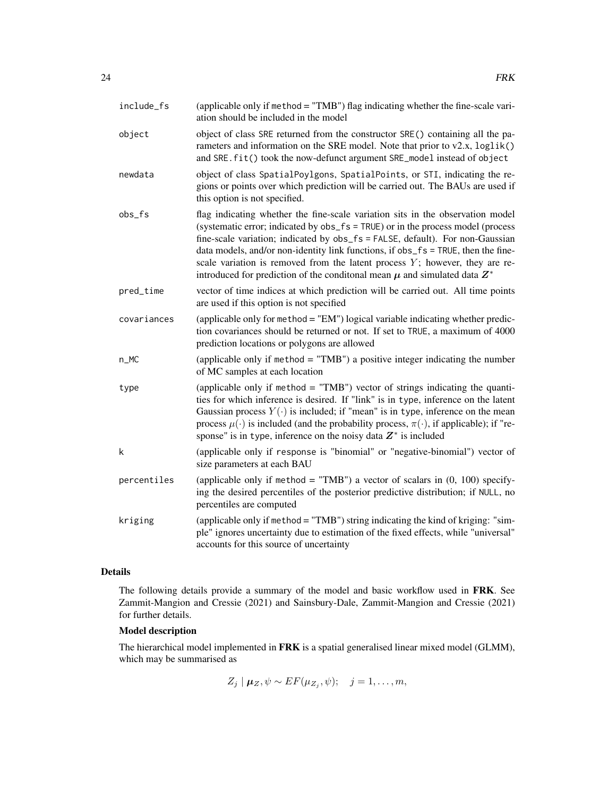| include_fs  | (applicable only if method = "TMB") flag indicating whether the fine-scale vari-<br>ation should be included in the model                                                                                                                                                                                                                                                                                                                                                                                     |
|-------------|---------------------------------------------------------------------------------------------------------------------------------------------------------------------------------------------------------------------------------------------------------------------------------------------------------------------------------------------------------------------------------------------------------------------------------------------------------------------------------------------------------------|
| object      | object of class SRE returned from the constructor SRE() containing all the pa-<br>rameters and information on the SRE model. Note that prior to v2.x, loglik()<br>and SRE. fit() took the now-defunct argument SRE_model instead of object                                                                                                                                                                                                                                                                    |
| newdata     | object of class SpatialPoylgons, SpatialPoints, or STI, indicating the re-<br>gions or points over which prediction will be carried out. The BAUs are used if<br>this option is not specified.                                                                                                                                                                                                                                                                                                                |
| $obs_f s$   | flag indicating whether the fine-scale variation sits in the observation model<br>(systematic error; indicated by obs_fs = TRUE) or in the process model (process<br>fine-scale variation; indicated by obs_fs = FALSE, default). For non-Gaussian<br>data models, and/or non-identity link functions, if obs_fs = TRUE, then the fine-<br>scale variation is removed from the latent process $Y$ ; however, they are re-<br>introduced for prediction of the conditional mean $\mu$ and simulated data $Z^*$ |
| pred_time   | vector of time indices at which prediction will be carried out. All time points<br>are used if this option is not specified                                                                                                                                                                                                                                                                                                                                                                                   |
| covariances | (applicable only for method = "EM") logical variable indicating whether predic-<br>tion covariances should be returned or not. If set to TRUE, a maximum of 4000<br>prediction locations or polygons are allowed                                                                                                                                                                                                                                                                                              |
| $n_MC$      | (applicable only if $method = "TMB")$ a positive integer indicating the number<br>of MC samples at each location                                                                                                                                                                                                                                                                                                                                                                                              |
| type        | (applicable only if method = "TMB") vector of strings indicating the quanti-<br>ties for which inference is desired. If "link" is in type, inference on the latent<br>Gaussian process $Y(\cdot)$ is included; if "mean" is in type, inference on the mean<br>process $\mu(\cdot)$ is included (and the probability process, $\pi(\cdot)$ , if applicable); if "re-<br>sponse" is in type, inference on the noisy data $Z^*$ is included                                                                      |
| k           | (applicable only if response is "binomial" or "negative-binomial") vector of<br>size parameters at each BAU                                                                                                                                                                                                                                                                                                                                                                                                   |
| percentiles | (applicable only if method = "TMB") a vector of scalars in $(0, 100)$ specify-<br>ing the desired percentiles of the posterior predictive distribution; if NULL, no<br>percentiles are computed                                                                                                                                                                                                                                                                                                               |
| kriging     | (applicable only if method = "TMB") string indicating the kind of kriging: "sim-<br>ple" ignores uncertainty due to estimation of the fixed effects, while "universal"<br>accounts for this source of uncertainty                                                                                                                                                                                                                                                                                             |

## Details

The following details provide a summary of the model and basic workflow used in FRK. See Zammit-Mangion and Cressie (2021) and Sainsbury-Dale, Zammit-Mangion and Cressie (2021) for further details.

## Model description

The hierarchical model implemented in FRK is a spatial generalised linear mixed model (GLMM), which may be summarised as

$$
Z_j | \boldsymbol{\mu}_Z, \psi \sim EF(\mu_{Z_j}, \psi); \quad j = 1, \ldots, m,
$$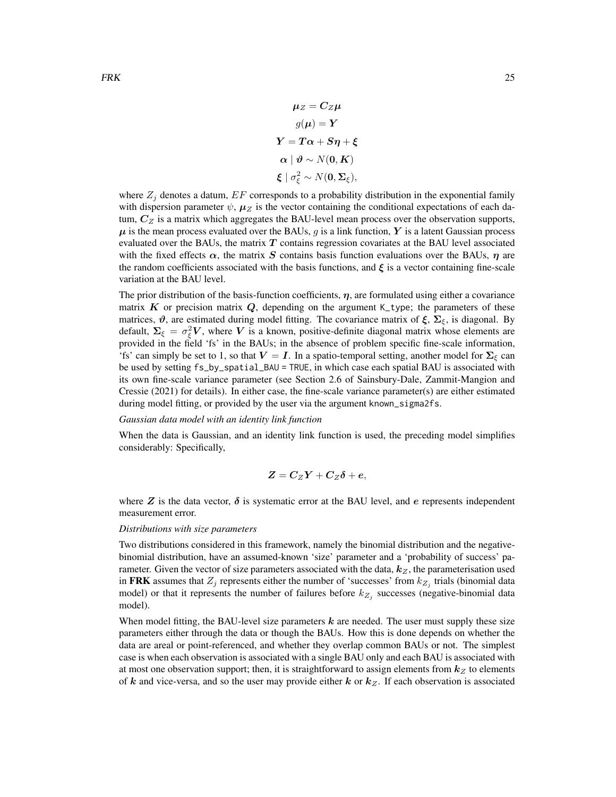$$
\mu_Z = C_Z \mu
$$
  
\n
$$
g(\mu) = Y
$$
  
\n
$$
Y = T\alpha + S\eta + \xi
$$
  
\n
$$
\alpha \mid \vartheta \sim N(0, K)
$$
  
\n
$$
\xi \mid \sigma_{\xi}^2 \sim N(0, \Sigma_{\xi}),
$$

where  $Z_j$  denotes a datum,  $EF$  corresponds to a probability distribution in the exponential family with dispersion parameter  $\psi$ ,  $\mu_Z$  is the vector containing the conditional expectations of each datum,  $C_Z$  is a matrix which aggregates the BAU-level mean process over the observation supports,  $\mu$  is the mean process evaluated over the BAUs, g is a link function, Y is a latent Gaussian process evaluated over the BAUs, the matrix  $T$  contains regression covariates at the BAU level associated with the fixed effects  $\alpha$ , the matrix S contains basis function evaluations over the BAUs,  $\eta$  are the random coefficients associated with the basis functions, and  $\xi$  is a vector containing fine-scale variation at the BAU level.

The prior distribution of the basis-function coefficients,  $\eta$ , are formulated using either a covariance matrix K or precision matrix Q, depending on the argument K\_type; the parameters of these matrices,  $\vartheta$ , are estimated during model fitting. The covariance matrix of  $\xi$ ,  $\Sigma_{\xi}$ , is diagonal. By default,  $\Sigma_{\xi} = \sigma_{\xi}^2 V$ , where V is a known, positive-definite diagonal matrix whose elements are provided in the field 'fs' in the BAUs; in the absence of problem specific fine-scale information, 'fs' can simply be set to 1, so that  $V = I$ . In a spatio-temporal setting, another model for  $\Sigma_{\xi}$  can be used by setting fs\_by\_spatial\_BAU = TRUE, in which case each spatial BAU is associated with its own fine-scale variance parameter (see Section 2.6 of Sainsbury-Dale, Zammit-Mangion and Cressie (2021) for details). In either case, the fine-scale variance parameter(s) are either estimated during model fitting, or provided by the user via the argument known\_sigma2fs.

#### *Gaussian data model with an identity link function*

When the data is Gaussian, and an identity link function is used, the preceding model simplifies considerably: Specifically,

$$
Z=C_ZY+C_Z\delta+e,
$$

where  $Z$  is the data vector,  $\delta$  is systematic error at the BAU level, and  $e$  represents independent measurement error.

#### *Distributions with size parameters*

Two distributions considered in this framework, namely the binomial distribution and the negativebinomial distribution, have an assumed-known 'size' parameter and a 'probability of success' parameter. Given the vector of size parameters associated with the data,  $k_Z$ , the parameterisation used in FRK assumes that  $Z_j$  represents either the number of 'successes' from  $k_{Z_j}$  trials (binomial data model) or that it represents the number of failures before  $k_{Z_j}$  successes (negative-binomial data model).

When model fitting, the BAU-level size parameters  $k$  are needed. The user must supply these size parameters either through the data or though the BAUs. How this is done depends on whether the data are areal or point-referenced, and whether they overlap common BAUs or not. The simplest case is when each observation is associated with a single BAU only and each BAU is associated with at most one observation support; then, it is straightforward to assign elements from  $k_z$  to elements of k and vice-versa, and so the user may provide either k or  $k_Z$ . If each observation is associated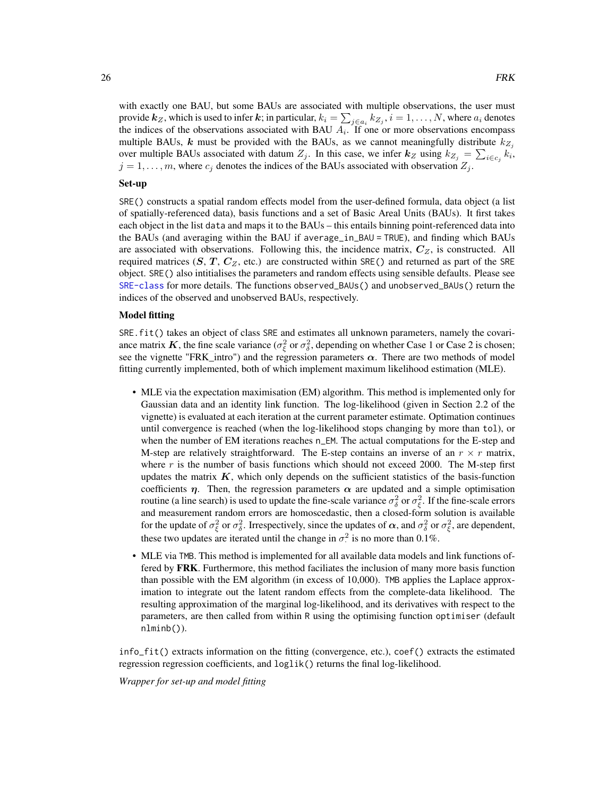with exactly one BAU, but some BAUs are associated with multiple observations, the user must provide  $k_Z$ , which is used to infer  $k$ ; in particular,  $k_i = \sum_{j \in a_i} k_{Z_j}, i = 1, \ldots, N,$  where  $a_i$  denotes the indices of the observations associated with BAU  $A_i$ . If one or more observations encompass multiple BAUs, k must be provided with the BAUs, as we cannot meaningfully distribute  $k_{Z_i}$ over multiple BAUs associated with datum  $Z_j$ . In this case, we infer  $k_Z$  using  $k_{Z_j} = \sum_{i \in c_j} k_i$ ,  $j = 1, \ldots, m$ , where  $c_j$  denotes the indices of the BAUs associated with observation  $Z_j$ .

#### Set-up

SRE() constructs a spatial random effects model from the user-defined formula, data object (a list of spatially-referenced data), basis functions and a set of Basic Areal Units (BAUs). It first takes each object in the list data and maps it to the BAUs – this entails binning point-referenced data into the BAUs (and averaging within the BAU if average\_in\_BAU = TRUE), and finding which BAUs are associated with observations. Following this, the incidence matrix,  $C_Z$ , is constructed. All required matrices  $(S, T, C_Z, \text{etc.})$  are constructed within SRE() and returned as part of the SRE object. SRE() also intitialises the parameters and random effects using sensible defaults. Please see [SRE-class](#page-46-1) for more details. The functions observed\_BAUs() and unobserved\_BAUs() return the indices of the observed and unobserved BAUs, respectively.

#### Model fitting

SRE.fit() takes an object of class SRE and estimates all unknown parameters, namely the covariance matrix K, the fine scale variance ( $\sigma_{\xi}^2$  or  $\sigma_{\delta}^2$ , depending on whether Case 1 or Case 2 is chosen; see the vignette "FRK\_intro") and the regression parameters  $\alpha$ . There are two methods of model fitting currently implemented, both of which implement maximum likelihood estimation (MLE).

- MLE via the expectation maximisation (EM) algorithm. This method is implemented only for Gaussian data and an identity link function. The log-likelihood (given in Section 2.2 of the vignette) is evaluated at each iteration at the current parameter estimate. Optimation continues until convergence is reached (when the log-likelihood stops changing by more than tol), or when the number of EM iterations reaches n\_EM. The actual computations for the E-step and M-step are relatively straightforward. The E-step contains an inverse of an  $r \times r$  matrix, where  $r$  is the number of basis functions which should not exceed 2000. The M-step first updates the matrix  $K$ , which only depends on the sufficient statistics of the basis-function coefficients  $\eta$ . Then, the regression parameters  $\alpha$  are updated and a simple optimisation routine (a line search) is used to update the fine-scale variance  $\sigma_{\delta}^2$  or  $\sigma_{\xi}^2$ . If the fine-scale errors and measurement random errors are homoscedastic, then a closed-form solution is available for the update of  $\sigma_{\xi}^2$  or  $\sigma_{\delta}^2$ . Irrespectively, since the updates of  $\alpha$ , and  $\sigma_{\delta}^2$  or  $\sigma_{\xi}^2$ , are dependent, these two updates are iterated until the change in  $\sigma^2$  is no more than 0.1%.
- MLE via TMB. This method is implemented for all available data models and link functions offered by **FRK**. Furthermore, this method faciliates the inclusion of many more basis function than possible with the EM algorithm (in excess of 10,000). TMB applies the Laplace approximation to integrate out the latent random effects from the complete-data likelihood. The resulting approximation of the marginal log-likelihood, and its derivatives with respect to the parameters, are then called from within R using the optimising function optimiser (default nlminb()).

info\_fit() extracts information on the fitting (convergence, etc.), coef() extracts the estimated regression regression coefficients, and loglik() returns the final log-likelihood.

*Wrapper for set-up and model fitting*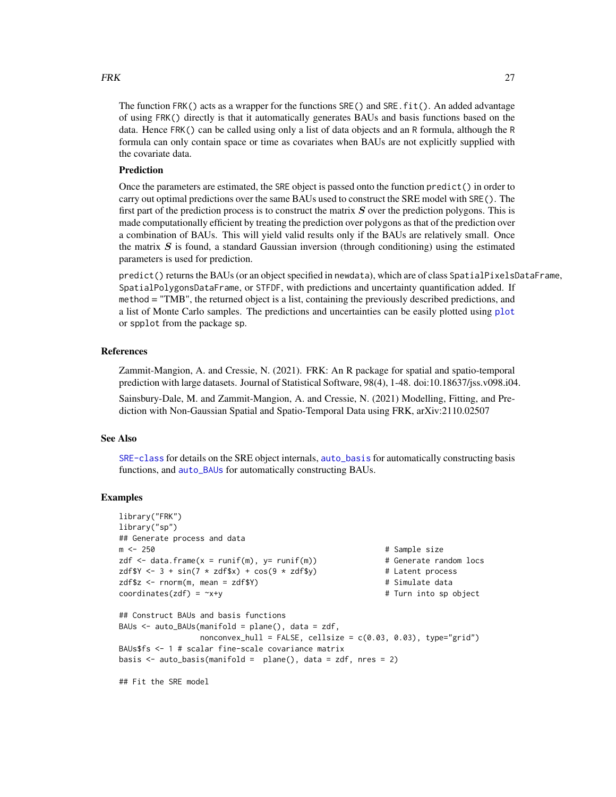#### <span id="page-26-0"></span> $FRK$  27

The function FRK() acts as a wrapper for the functions SRE() and SRE.fit(). An added advantage of using FRK() directly is that it automatically generates BAUs and basis functions based on the data. Hence FRK() can be called using only a list of data objects and an R formula, although the R formula can only contain space or time as covariates when BAUs are not explicitly supplied with the covariate data.

#### Prediction

Once the parameters are estimated, the SRE object is passed onto the function predict() in order to carry out optimal predictions over the same BAUs used to construct the SRE model with SRE(). The first part of the prediction process is to construct the matrix  $S$  over the prediction polygons. This is made computationally efficient by treating the prediction over polygons as that of the prediction over a combination of BAUs. This will yield valid results only if the BAUs are relatively small. Once the matrix  $S$  is found, a standard Gaussian inversion (through conditioning) using the estimated parameters is used for prediction.

predict() returns the BAUs (or an object specified in newdata), which are of class SpatialPixelsDataFrame, SpatialPolygonsDataFrame, or STFDF, with predictions and uncertainty quantification added. If method = "TMB", the returned object is a list, containing the previously described predictions, and a list of Monte Carlo samples. The predictions and uncertainties can be easily plotted using [plot](#page-38-1) or spplot from the package sp.

## References

Zammit-Mangion, A. and Cressie, N. (2021). FRK: An R package for spatial and spatio-temporal prediction with large datasets. Journal of Statistical Software, 98(4), 1-48. doi:10.18637/jss.v098.i04.

Sainsbury-Dale, M. and Zammit-Mangion, A. and Cressie, N. (2021) Modelling, Fitting, and Prediction with Non-Gaussian Spatial and Spatio-Temporal Data using FRK, arXiv:2110.02507

#### See Also

[SRE-class](#page-46-1) for details on the SRE object internals, [auto\\_basis](#page-3-1) for automatically constructing basis functions, and [auto\\_BAUs](#page-6-1) for automatically constructing BAUs.

#### Examples

```
library("FRK")
library("sp")
## Generate process and data
m <- 250 # Sample size
zdf \le data.frame(x = runif(m), y= runif(m)) # Generate random locs
zdf$Y <- 3 + sin(7 * zdf$x) + cos(9 * zdf$y) # Latent process
zdf$z <- rnorm(m, mean = zdf$Y) # Simulate data
coordinate(zdf) = x + y # Turn into sp object
## Construct BAUs and basis functions
BAUs \leq auto_BAUs(manifold = plane(), data = zdf,
              nonconvex_hull = FALSE, cellsize = c(0.03, 0.03), type="grid")BAUs$fs <- 1 # scalar fine-scale covariance matrix
basis \le auto_basis(manifold = plane(), data = zdf, nres = 2)
```
## Fit the SRE model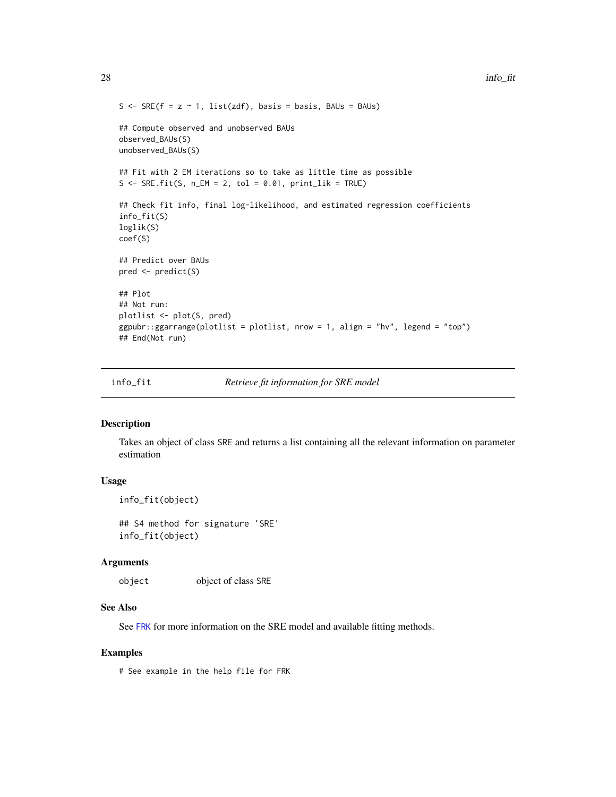```
S <- SRE(f = z \sim 1, list(zdf), basis = basis, BAUs = BAUs)
## Compute observed and unobserved BAUs
observed_BAUs(S)
unobserved_BAUs(S)
## Fit with 2 EM iterations so to take as little time as possible
S \leq SRE.fit(S, n\_EM = 2, tol = 0.01, print\_lik = TRUE)## Check fit info, final log-likelihood, and estimated regression coefficients
info_fit(S)
loglik(S)
coef(S)
## Predict over BAUs
pred <- predict(S)
## Plot
## Not run:
plotlist <- plot(S, pred)
ggpubr::ggarrange(plotlist = plotlist, nrow = 1, align = "hv", legend = "top")
## End(Not run)
```
info\_fit *Retrieve fit information for SRE model*

#### Description

Takes an object of class SRE and returns a list containing all the relevant information on parameter estimation

#### Usage

```
info_fit(object)
```
## S4 method for signature 'SRE' info\_fit(object)

#### **Arguments**

object object of class SRE

#### See Also

See [FRK](#page-19-1) for more information on the SRE model and available fitting methods.

#### Examples

# See example in the help file for FRK

<span id="page-27-0"></span>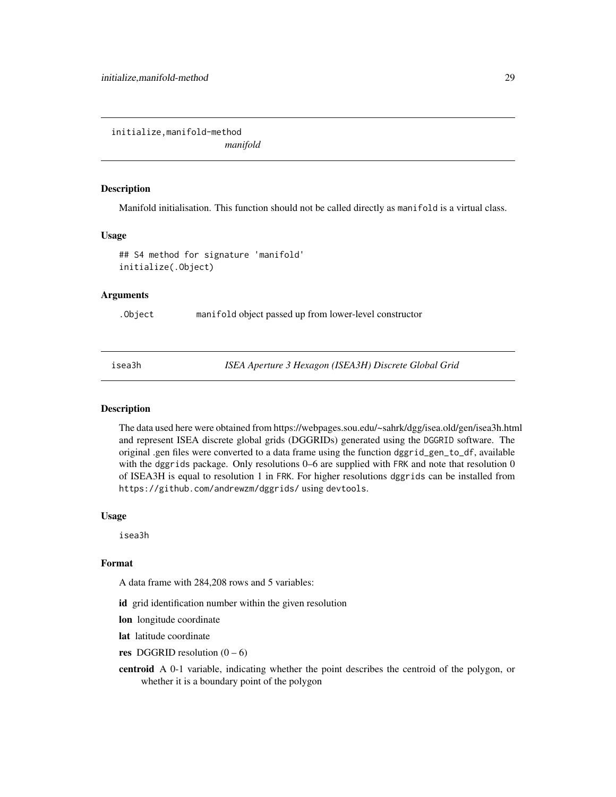<span id="page-28-0"></span>initialize,manifold-method

*manifold*

#### Description

Manifold initialisation. This function should not be called directly as manifold is a virtual class.

#### Usage

```
## S4 method for signature 'manifold'
initialize(.Object)
```
## Arguments

.Object manifold object passed up from lower-level constructor

isea3h *ISEA Aperture 3 Hexagon (ISEA3H) Discrete Global Grid*

#### Description

The data used here were obtained from https://webpages.sou.edu/~sahrk/dgg/isea.old/gen/isea3h.html and represent ISEA discrete global grids (DGGRIDs) generated using the DGGRID software. The original .gen files were converted to a data frame using the function dggrid\_gen\_to\_df, available with the dggrids package. Only resolutions 0–6 are supplied with FRK and note that resolution 0 of ISEA3H is equal to resolution 1 in FRK. For higher resolutions dggrids can be installed from https://github.com/andrewzm/dggrids/ using devtools.

## Usage

isea3h

## Format

A data frame with 284,208 rows and 5 variables:

id grid identification number within the given resolution

lon longitude coordinate

lat latitude coordinate

res DGGRID resolution  $(0 - 6)$ 

centroid A 0-1 variable, indicating whether the point describes the centroid of the polygon, or whether it is a boundary point of the polygon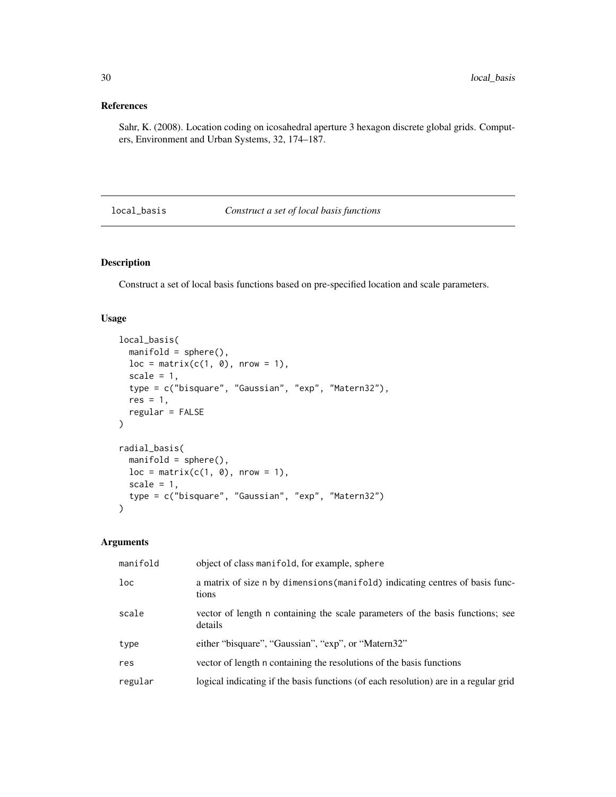## <span id="page-29-0"></span>References

Sahr, K. (2008). Location coding on icosahedral aperture 3 hexagon discrete global grids. Computers, Environment and Urban Systems, 32, 174–187.

## <span id="page-29-1"></span>local\_basis *Construct a set of local basis functions*

## Description

Construct a set of local basis functions based on pre-specified location and scale parameters.

#### Usage

```
local_basis(
 manifold = sphere(),
  loc = matrix(c(1, 0), nrow = 1),scale = 1,
  type = c("bisquare", "Gaussian", "exp", "Matern32"),
  res = 1,
 regular = FALSE
\mathcal{L}radial_basis(
 manifold = sphere(),
 loc = matrix(c(1, 0), nrow = 1),scale = 1,
  type = c("bisquare", "Gaussian", "exp", "Matern32")
)
```
## Arguments

| loc<br>a matrix of size n by dimensions (manifold) indicating centres of basis func-<br>tions      |  |
|----------------------------------------------------------------------------------------------------|--|
| scale<br>vector of length n containing the scale parameters of the basis functions; see<br>details |  |
| either "bisquare", "Gaussian", "exp", or "Matern32"<br>type                                        |  |
| vector of length n containing the resolutions of the basis functions<br>res                        |  |
| logical indicating if the basis functions (of each resolution) are in a regular grid<br>regular    |  |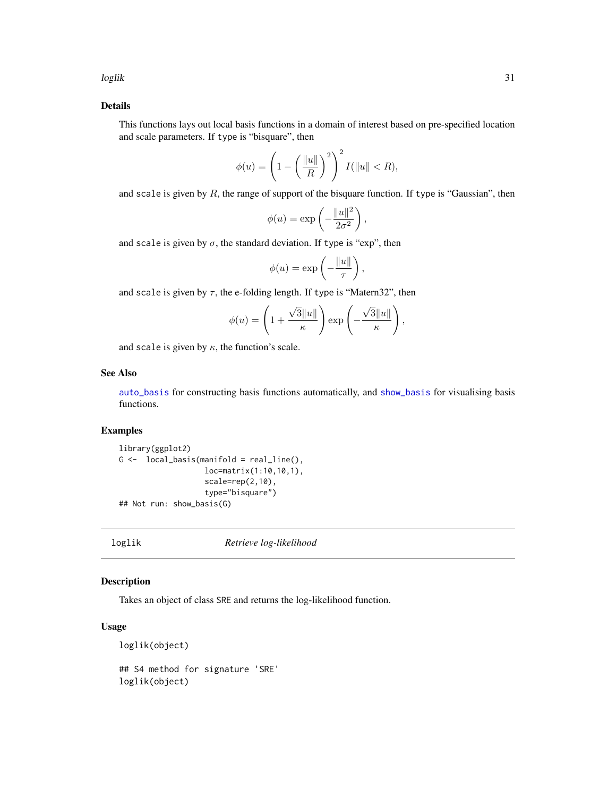<span id="page-30-0"></span>loglik 31

## Details

This functions lays out local basis functions in a domain of interest based on pre-specified location and scale parameters. If type is "bisquare", then

$$
\phi(u) = \left(1 - \left(\frac{\|u\|}{R}\right)^2\right)^2 I(\|u\| < R),
$$

and scale is given by  $R$ , the range of support of the bisquare function. If type is "Gaussian", then

$$
\phi(u) = \exp\left(-\frac{\|u\|^2}{2\sigma^2}\right),\,
$$

and scale is given by  $\sigma$ , the standard deviation. If type is "exp", then

$$
\phi(u) = \exp\left(-\frac{\|u\|}{\tau}\right),\,
$$

and scale is given by  $\tau$ , the e-folding length. If type is "Matern32", then

$$
\phi(u) = \left(1 + \frac{\sqrt{3}||u||}{\kappa}\right) \exp\left(-\frac{\sqrt{3}||u||}{\kappa}\right),\,
$$

and scale is given by  $\kappa$ , the function's scale.

#### See Also

[auto\\_basis](#page-3-1) for constructing basis functions automatically, and [show\\_basis](#page-43-1) for visualising basis functions.

## Examples

```
library(ggplot2)
G \leftarrow local_basis(manifold = real_line(),
                    loc=matrix(1:10,10,1),
                    scale=rep(2,10),
                    type="bisquare")
## Not run: show_basis(G)
```
loglik *Retrieve log-likelihood*

## Description

Takes an object of class SRE and returns the log-likelihood function.

#### Usage

```
loglik(object)
## S4 method for signature 'SRE'
```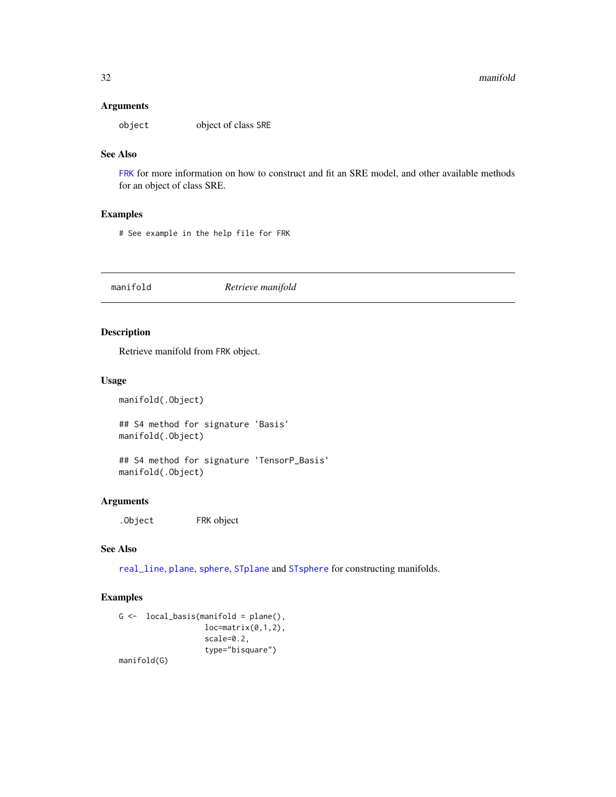## <span id="page-31-0"></span>Arguments

object object of class SRE

## See Also

[FRK](#page-19-1) for more information on how to construct and fit an SRE model, and other available methods for an object of class SRE.

#### Examples

# See example in the help file for FRK

manifold *Retrieve manifold*

## Description

Retrieve manifold from FRK object.

#### Usage

manifold(.Object)

## S4 method for signature 'Basis' manifold(.Object)

## S4 method for signature 'TensorP\_Basis' manifold(.Object)

## Arguments

.Object FRK object

#### See Also

[real\\_line](#page-41-1), [plane](#page-37-1), [sphere](#page-45-1), [STplane](#page-48-1) and [STsphere](#page-49-1) for constructing manifolds.

## Examples

```
G \leftarrow local_basis(manifold = plane(),
                    loc=matrix(0,1,2),
                    scale=0.2,
                    type="bisquare")
manifold(G)
```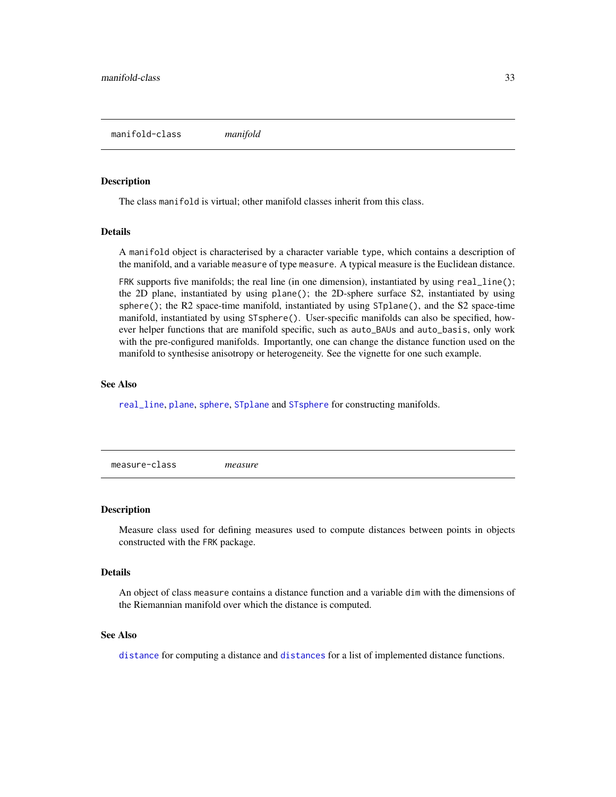#### <span id="page-32-1"></span><span id="page-32-0"></span>Description

The class manifold is virtual; other manifold classes inherit from this class.

## Details

A manifold object is characterised by a character variable type, which contains a description of the manifold, and a variable measure of type measure. A typical measure is the Euclidean distance.

FRK supports five manifolds; the real line (in one dimension), instantiated by using real\_line(); the 2D plane, instantiated by using plane(); the 2D-sphere surface S2, instantiated by using sphere(); the R2 space-time manifold, instantiated by using  $STplane()$ , and the S2 space-time manifold, instantiated by using STsphere(). User-specific manifolds can also be specified, however helper functions that are manifold specific, such as auto\_BAUs and auto\_basis, only work with the pre-configured manifolds. Importantly, one can change the distance function used on the manifold to synthesise anisotropy or heterogeneity. See the vignette for one such example.

#### See Also

[real\\_line](#page-41-1), [plane](#page-37-1), [sphere](#page-45-1), [STplane](#page-48-1) and [STsphere](#page-49-1) for constructing manifolds.

measure-class *measure*

#### Description

Measure class used for defining measures used to compute distances between points in objects constructed with the FRK package.

#### **Details**

An object of class measure contains a distance function and a variable dim with the dimensions of the Riemannian manifold over which the distance is computed.

#### See Also

[distance](#page-15-1) for computing a distance and [distances](#page-16-1) for a list of implemented distance functions.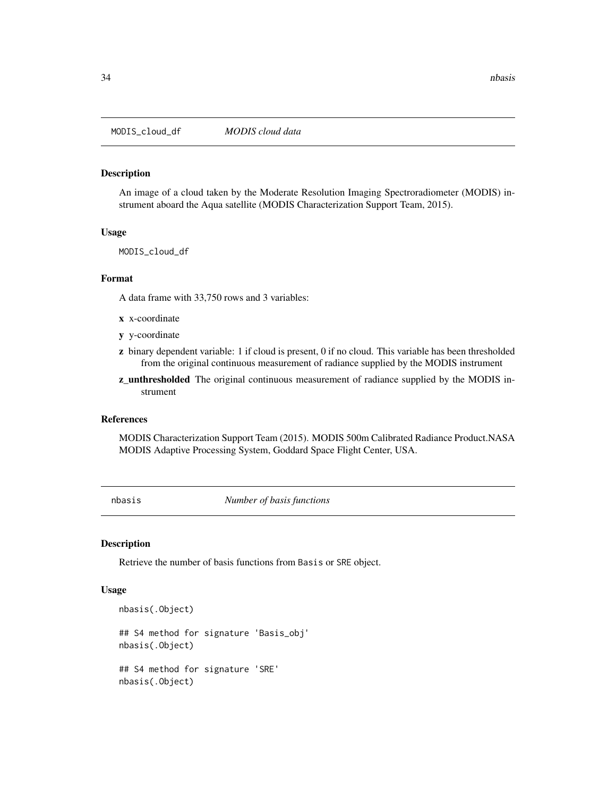<span id="page-33-0"></span>MODIS\_cloud\_df *MODIS cloud data*

#### Description

An image of a cloud taken by the Moderate Resolution Imaging Spectroradiometer (MODIS) instrument aboard the Aqua satellite (MODIS Characterization Support Team, 2015).

## Usage

MODIS\_cloud\_df

#### Format

A data frame with 33,750 rows and 3 variables:

- x x-coordinate
- y y-coordinate
- z binary dependent variable: 1 if cloud is present, 0 if no cloud. This variable has been thresholded from the original continuous measurement of radiance supplied by the MODIS instrument
- z\_unthresholded The original continuous measurement of radiance supplied by the MODIS instrument

#### References

MODIS Characterization Support Team (2015). MODIS 500m Calibrated Radiance Product.NASA MODIS Adaptive Processing System, Goddard Space Flight Center, USA.

nbasis *Number of basis functions*

## Description

Retrieve the number of basis functions from Basis or SRE object.

#### Usage

```
nbasis(.Object)
```
nbasis(.Object)

```
## S4 method for signature 'Basis_obj'
nbasis(.Object)
## S4 method for signature 'SRE'
```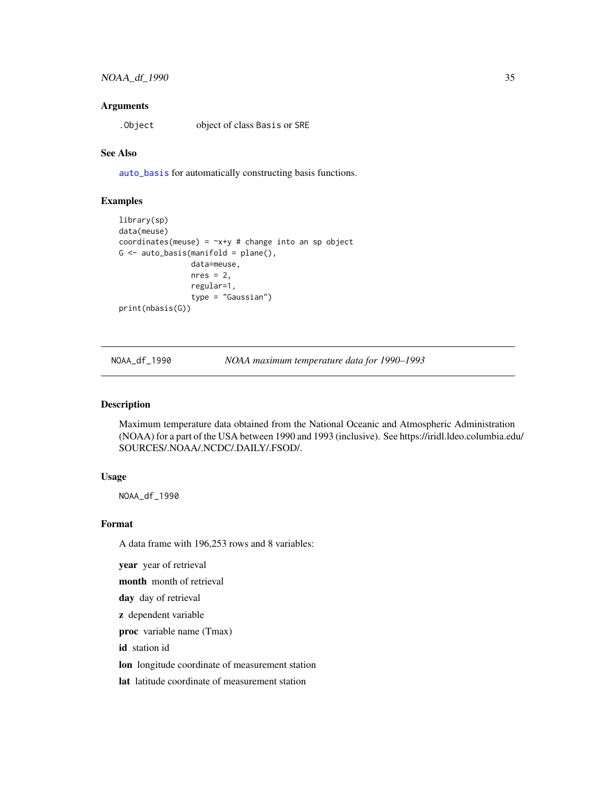#### <span id="page-34-0"></span>**Arguments**

.Object object of class Basis or SRE

#### See Also

[auto\\_basis](#page-3-1) for automatically constructing basis functions.

#### Examples

```
library(sp)
data(meuse)
coordinates(meuse) = -x+y # change into an sp object
G \leftarrow auto\_basis(manifold = plane(),data=meuse,
                 nres = 2,
                 regular=1,
                 type = "Gaussian")
print(nbasis(G))
```
NOAA\_df\_1990 *NOAA maximum temperature data for 1990–1993*

#### Description

Maximum temperature data obtained from the National Oceanic and Atmospheric Administration (NOAA) for a part of the USA between 1990 and 1993 (inclusive). See https://iridl.ldeo.columbia.edu/ SOURCES/.NOAA/.NCDC/.DAILY/.FSOD/.

## Usage

NOAA\_df\_1990

#### Format

A data frame with 196,253 rows and 8 variables:

year year of retrieval

month month of retrieval

day day of retrieval

z dependent variable

proc variable name (Tmax)

id station id

lon longitude coordinate of measurement station

lat latitude coordinate of measurement station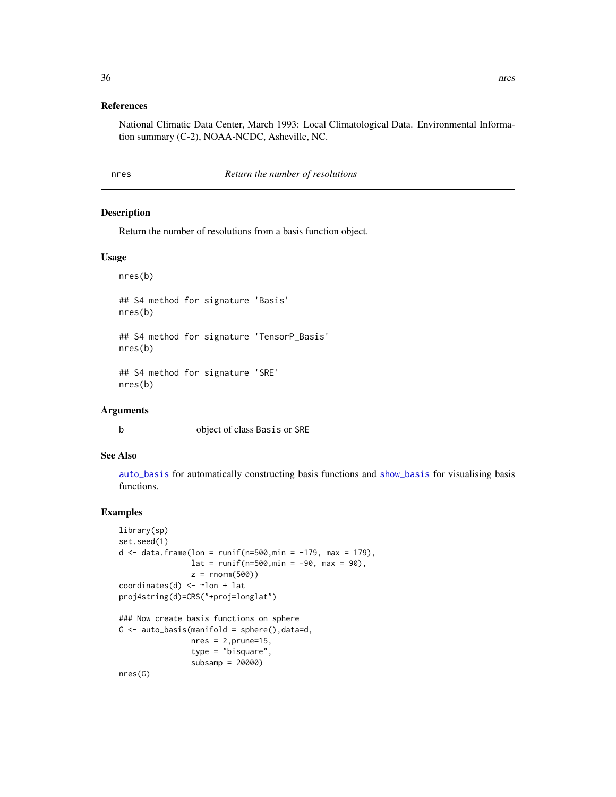#### <span id="page-35-0"></span>References

National Climatic Data Center, March 1993: Local Climatological Data. Environmental Information summary (C-2), NOAA-NCDC, Asheville, NC.

#### nres *Return the number of resolutions*

#### Description

Return the number of resolutions from a basis function object.

#### Usage

nres(b)

```
## S4 method for signature 'Basis'
nres(b)
## S4 method for signature 'TensorP_Basis'
```
nres(b)

## S4 method for signature 'SRE' nres(b)

## Arguments

b object of class Basis or SRE

## See Also

[auto\\_basis](#page-3-1) for automatically constructing basis functions and [show\\_basis](#page-43-1) for visualising basis functions.

### Examples

```
library(sp)
set.seed(1)
d <- data.frame(lon = runif(n=500,min = -179, max = 179),
                 lat = runif(n=500, min = -90, max = 90),
                z = \text{norm}(500)coordinates(d) \le \sim \ln + lat
proj4string(d)=CRS("+proj=longlat")
### Now create basis functions on sphere
G \leftarrow auto\_basis(manifold = sphere(), data=d,nres = 2, prune=15,type = "bisquare",
                 subsamp = 20000)
nres(G)
```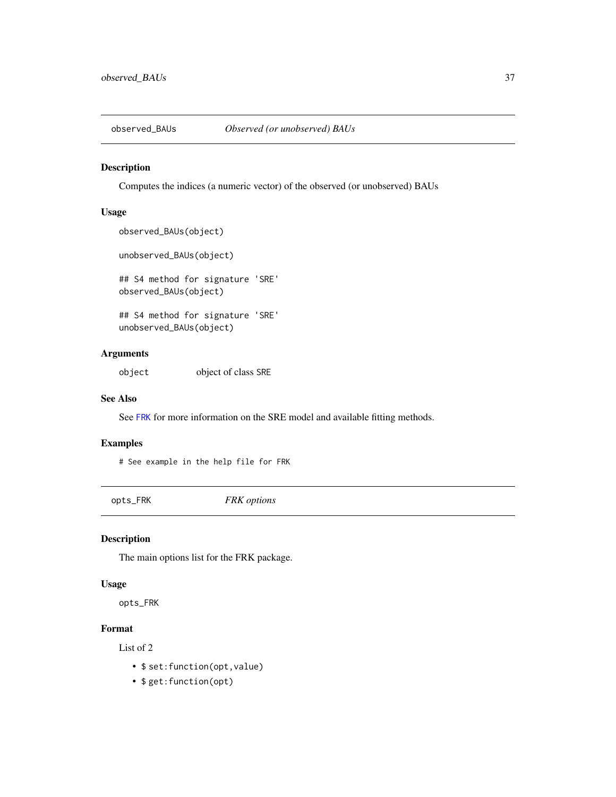<span id="page-36-0"></span>

## Description

Computes the indices (a numeric vector) of the observed (or unobserved) BAUs

#### Usage

```
observed_BAUs(object)
```
unobserved\_BAUs(object)

## S4 method for signature 'SRE' observed\_BAUs(object)

## S4 method for signature 'SRE' unobserved\_BAUs(object)

## Arguments

object object of class SRE

#### See Also

See [FRK](#page-19-1) for more information on the SRE model and available fitting methods.

#### Examples

# See example in the help file for FRK

opts\_FRK *FRK options*

## Description

The main options list for the FRK package.

#### Usage

opts\_FRK

#### Format

List of 2

- \$ set:function(opt,value)
- \$ get:function(opt)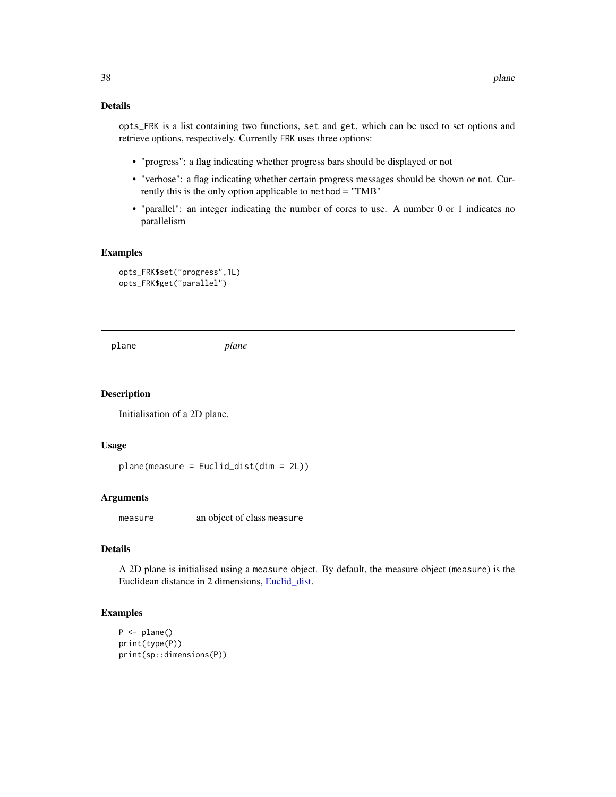## <span id="page-37-0"></span>Details

opts\_FRK is a list containing two functions, set and get, which can be used to set options and retrieve options, respectively. Currently FRK uses three options:

- "progress": a flag indicating whether progress bars should be displayed or not
- "verbose": a flag indicating whether certain progress messages should be shown or not. Currently this is the only option applicable to method = "TMB"
- "parallel": an integer indicating the number of cores to use. A number 0 or 1 indicates no parallelism

#### Examples

```
opts_FRK$set("progress",1L)
opts_FRK$get("parallel")
```
<span id="page-37-1"></span>plane *plane*

#### Description

Initialisation of a 2D plane.

#### Usage

```
plane(measure = Euclid_dist(dim = 2L))
```
#### Arguments

measure an object of class measure

#### Details

A 2D plane is initialised using a measure object. By default, the measure object (measure) is the Euclidean distance in 2 dimensions, [Euclid\\_dist.](#page-16-2)

## Examples

```
P \leftarrow plane()print(type(P))
print(sp::dimensions(P))
```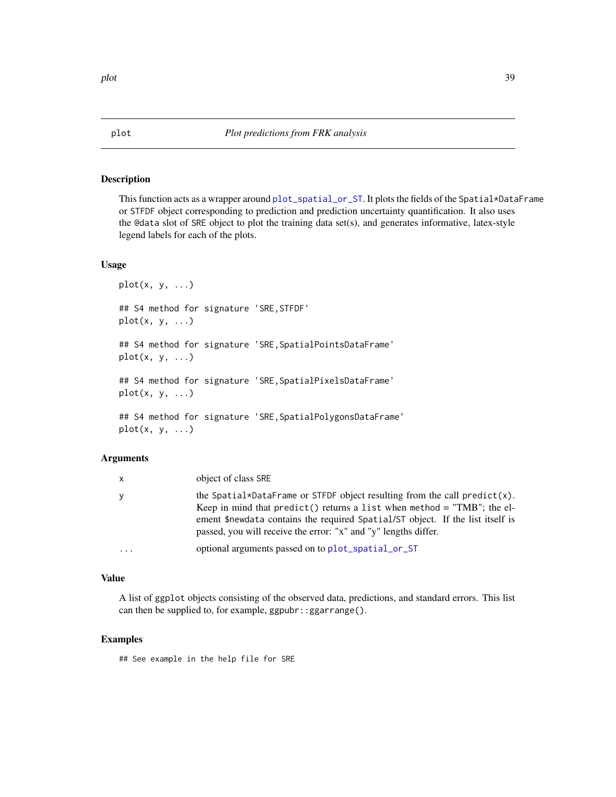#### <span id="page-38-1"></span><span id="page-38-0"></span>Description

This function acts as a wrapper around [plot\\_spatial\\_or\\_ST](#page-39-1). It plots the fields of the Spatial\*DataFrame or STFDF object corresponding to prediction and prediction uncertainty quantification. It also uses the @data slot of SRE object to plot the training data set(s), and generates informative, latex-style legend labels for each of the plots.

## Usage

```
plot(x, y, ...)## S4 method for signature 'SRE,STFDF'
plot(x, y, ...)## S4 method for signature 'SRE,SpatialPointsDataFrame'
plot(x, y, ...)## S4 method for signature 'SRE,SpatialPixelsDataFrame'
plot(x, y, ...)
## S4 method for signature 'SRE,SpatialPolygonsDataFrame'
plot(x, y, \ldots)
```
#### Arguments

| X        | object of class SRE                                                                                                                                                                                                                                                                                         |
|----------|-------------------------------------------------------------------------------------------------------------------------------------------------------------------------------------------------------------------------------------------------------------------------------------------------------------|
| У        | the Spatial*DataFrame or STFDF object resulting from the call predict(x).<br>Keep in mind that $predict()$ returns a list when method = "TMB"; the el-<br>ement \$newdata contains the required Spatial/ST object. If the list itself is<br>passed, you will receive the error: "x" and "y" lengths differ. |
| $\cdots$ | optional arguments passed on to plot_spatial_or_ST                                                                                                                                                                                                                                                          |

## Value

A list of ggplot objects consisting of the observed data, predictions, and standard errors. This list can then be supplied to, for example, ggpubr::ggarrange().

#### Examples

## See example in the help file for SRE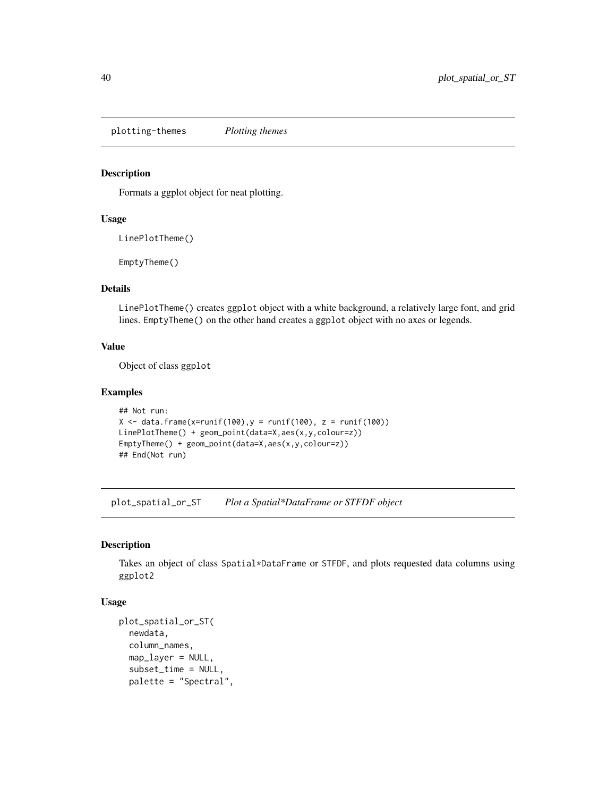<span id="page-39-0"></span>plotting-themes *Plotting themes*

## Description

Formats a ggplot object for neat plotting.

#### Usage

LinePlotTheme()

EmptyTheme()

## Details

LinePlotTheme() creates ggplot object with a white background, a relatively large font, and grid lines. EmptyTheme() on the other hand creates a ggplot object with no axes or legends.

## Value

Object of class ggplot

#### Examples

```
## Not run:
X \le data.frame(x=runif(100), y = runif(100), z = runif(100))
LinePlotTheme() + geom_point(data=X,aes(x,y,colour=z))
EmptyTheme() + geom_point(data=X,aes(x,y,colour=z))
## End(Not run)
```
<span id="page-39-1"></span>plot\_spatial\_or\_ST *Plot a Spatial\*DataFrame or STFDF object*

#### Description

Takes an object of class Spatial\*DataFrame or STFDF, and plots requested data columns using ggplot2

## Usage

```
plot_spatial_or_ST(
 newdata,
  column_names,
 map_layer = NULL,
  subset_time = NULL,
 palette = "Spectral",
```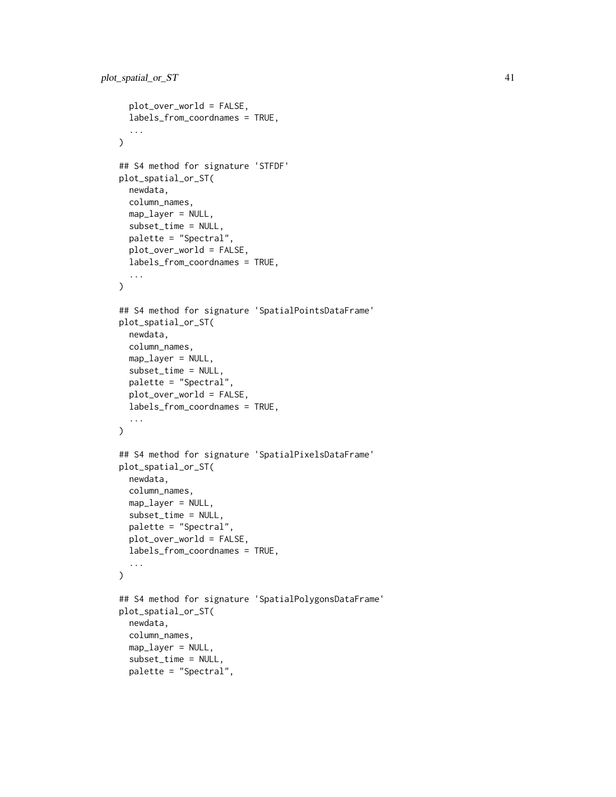```
plot_over_world = FALSE,
  labels_from_coordnames = TRUE,
  ...
\mathcal{L}## S4 method for signature 'STFDF'
plot_spatial_or_ST(
  newdata,
  column_names,
 map_layer = NULL,
  subset_time = NULL,
  palette = "Spectral",
 plot_over_world = FALSE,
  labels_from_coordnames = TRUE,
  ...
)
## S4 method for signature 'SpatialPointsDataFrame'
plot_spatial_or_ST(
  newdata,
  column_names,
  map_layer = NULL,
  subset_time = NULL,
  palette = "Spectral",
  plot_over_world = FALSE,
  labels_from_coordnames = TRUE,
  ...
)
## S4 method for signature 'SpatialPixelsDataFrame'
plot_spatial_or_ST(
 newdata,
  column_names,
  map_layer = NULL,
  subset_time = NULL,
  palette = "Spectral",
  plot_over_world = FALSE,
  labels_from_coordnames = TRUE,
  ...
\mathcal{L}## S4 method for signature 'SpatialPolygonsDataFrame'
plot_spatial_or_ST(
 newdata,
  column_names,
  map_layer = NULL,
  subset_time = NULL,
  palette = "Spectral",
```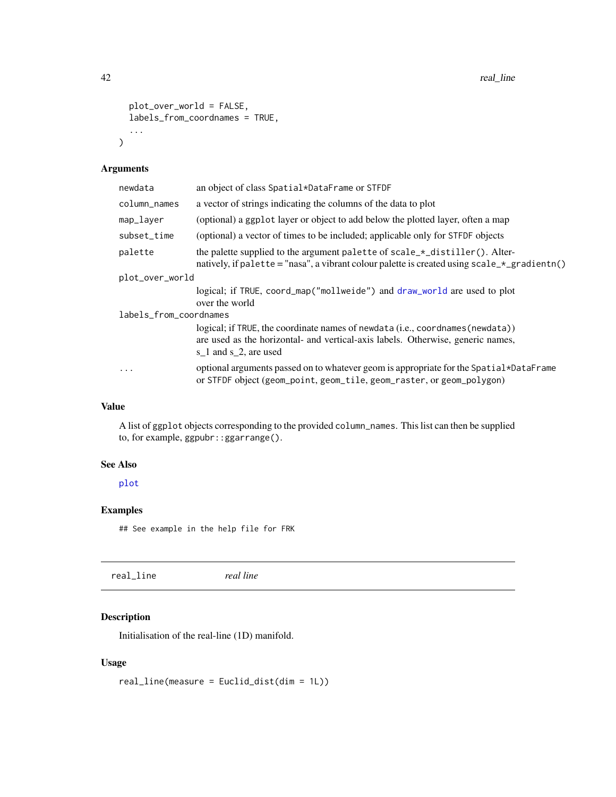<span id="page-41-0"></span>42 real\_line control and the control of the control of the control of the control of the control of the control of the control of the control of the control of the control of the control of the control of the control of th

```
plot_over_world = FALSE,
labels_from_coordnames = TRUE,
...
```
## Arguments

 $\mathcal{L}$ 

| newdata                | an object of class Spatial*DataFrame or STFDF                                                                                                                                                       |  |
|------------------------|-----------------------------------------------------------------------------------------------------------------------------------------------------------------------------------------------------|--|
| column_names           | a vector of strings indicating the columns of the data to plot                                                                                                                                      |  |
| map_layer              | (optional) a ggplot layer or object to add below the plotted layer, often a map                                                                                                                     |  |
| subset_time            | (optional) a vector of times to be included; applicable only for STFDF objects                                                                                                                      |  |
| palette                | the palette supplied to the argument palette of scale_*_distiller(). Alter-<br>natively, if palette = "nasa", a vibrant colour palette is created using $scale_{\pm}g$ radientn()                   |  |
| plot_over_world        |                                                                                                                                                                                                     |  |
|                        | logical; if TRUE, coord_map("mollweide") and draw_world are used to plot<br>over the world                                                                                                          |  |
| labels_from_coordnames |                                                                                                                                                                                                     |  |
|                        | logical; if TRUE, the coordinate names of newdata (i.e., coordnames (newdata))<br>are used as the horizontal- and vertical-axis labels. Otherwise, generic names,<br>s $\_1$ and s $\_2$ , are used |  |
| $\ddotsc$              | optional arguments passed on to whatever geom is appropriate for the Spatial*DataFrame<br>or STFDF object (geom_point, geom_tile, geom_raster, or geom_polygon)                                     |  |

## Value

A list of ggplot objects corresponding to the provided column\_names. This list can then be supplied to, for example, ggpubr::ggarrange().

## See Also

[plot](#page-38-1)

## Examples

## See example in the help file for FRK

<span id="page-41-1"></span>real\_line *real line*

## Description

Initialisation of the real-line (1D) manifold.

## Usage

real\_line(measure = Euclid\_dist(dim = 1L))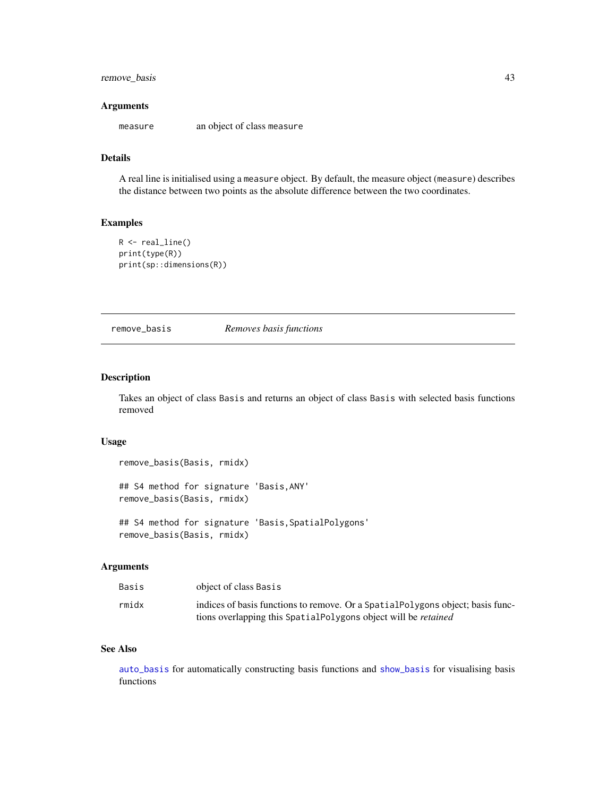## <span id="page-42-0"></span>remove\_basis 43

#### **Arguments**

measure an object of class measure

#### Details

A real line is initialised using a measure object. By default, the measure object (measure) describes the distance between two points as the absolute difference between the two coordinates.

## Examples

```
R \leftarrow \text{real\_line}()print(type(R))
print(sp::dimensions(R))
```
<span id="page-42-1"></span>remove\_basis *Removes basis functions*

#### Description

Takes an object of class Basis and returns an object of class Basis with selected basis functions removed

#### Usage

```
remove_basis(Basis, rmidx)
## S4 method for signature 'Basis,ANY'
remove_basis(Basis, rmidx)
```

```
## S4 method for signature 'Basis,SpatialPolygons'
remove_basis(Basis, rmidx)
```
## Arguments

| Basis | object of class Basis                                                           |
|-------|---------------------------------------------------------------------------------|
| rmidx | indices of basis functions to remove. Or a Spatial Polygons object; basis func- |
|       | tions overlapping this SpatialPolygons object will be <i>retained</i>           |

## See Also

[auto\\_basis](#page-3-1) for automatically constructing basis functions and [show\\_basis](#page-43-1) for visualising basis functions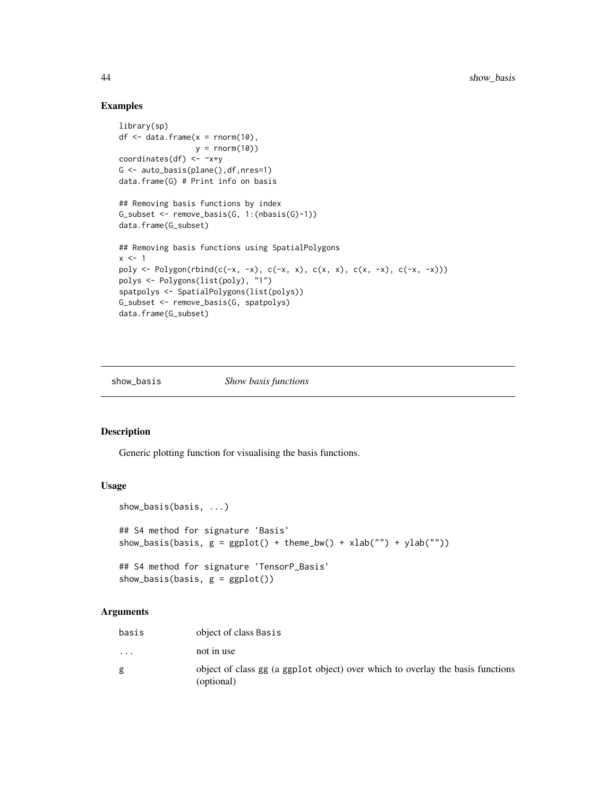#### Examples

```
library(sp)
df \leq data.frame(x = \text{norm}(10),
                 y = \text{rnorm}(10)coordinates(df) <- ~x+y
G <- auto_basis(plane(),df,nres=1)
data.frame(G) # Print info on basis
## Removing basis functions by index
G_subset <- remove_basis(G, 1:(nbasis(G)-1))
data.frame(G_subset)
## Removing basis functions using SpatialPolygons
x \le -1poly <- Polygon(rbind(c(-x, -x), c(-x, x), c(x, x), c(x, -x), c(-x, -x)))
polys <- Polygons(list(poly), "1")
spatpolys <- SpatialPolygons(list(polys))
G_subset <- remove_basis(G, spatpolys)
data.frame(G_subset)
```
<span id="page-43-1"></span>show\_basis *Show basis functions*

## Description

Generic plotting function for visualising the basis functions.

#### Usage

```
show_basis(basis, ...)
## S4 method for signature 'Basis'
show_basis(basis, g = ggplot() + theme_bw() + xlab("") + ylab("")## S4 method for signature 'TensorP_Basis'
show_basis(basis, g = ggplot())
```
#### Arguments

| basis                   | object of class Basis                                                                        |
|-------------------------|----------------------------------------------------------------------------------------------|
| $\cdot$ $\cdot$ $\cdot$ | not in use                                                                                   |
| g                       | object of class gg (a ggplot object) over which to overlay the basis functions<br>(optional) |

<span id="page-43-0"></span>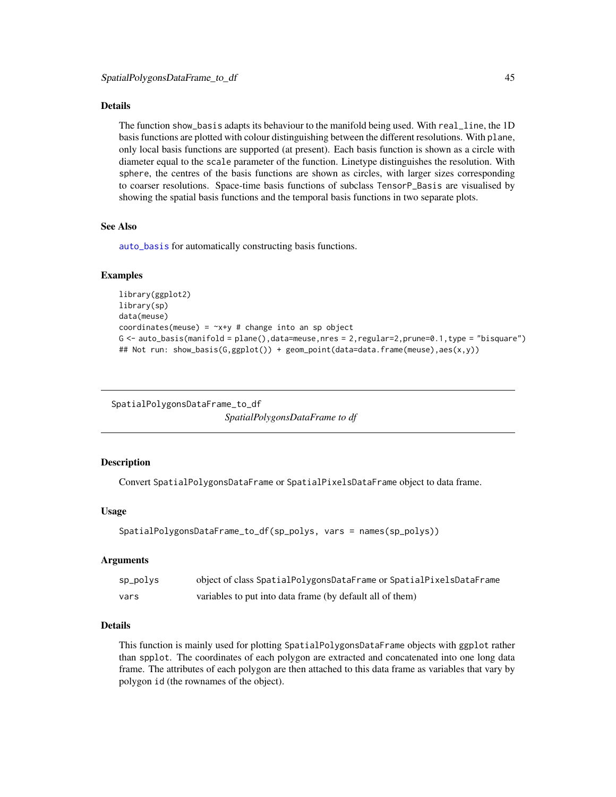#### <span id="page-44-0"></span>Details

The function show\_basis adapts its behaviour to the manifold being used. With real\_line, the 1D basis functions are plotted with colour distinguishing between the different resolutions. With plane, only local basis functions are supported (at present). Each basis function is shown as a circle with diameter equal to the scale parameter of the function. Linetype distinguishes the resolution. With sphere, the centres of the basis functions are shown as circles, with larger sizes corresponding to coarser resolutions. Space-time basis functions of subclass TensorP\_Basis are visualised by showing the spatial basis functions and the temporal basis functions in two separate plots.

## See Also

[auto\\_basis](#page-3-1) for automatically constructing basis functions.

### Examples

```
library(ggplot2)
library(sp)
data(meuse)
coordinates(meuse) = -x+y # change into an sp object
G \leftarrow \text{auto\_basis}(\text{manifold} = \text{plane}(),\text{data} = \text{measure},\text{nres} = 2,\text{regular} = 2,\text{prune} = 0.1,\text{type} = \text{"bisquare"}## Not run: show_basis(G,ggplot()) + geom_point(data=data.frame(meuse),aes(x,y))
```
SpatialPolygonsDataFrame\_to\_df *SpatialPolygonsDataFrame to df*

### **Description**

Convert SpatialPolygonsDataFrame or SpatialPixelsDataFrame object to data frame.

#### Usage

```
SpatialPolygonsDataFrame_to_df(sp_polys, vars = names(sp_polys))
```
#### Arguments

| sp_polys | object of class SpatialPolygonsDataFrame or SpatialPixelsDataFrame |
|----------|--------------------------------------------------------------------|
| vars     | variables to put into data frame (by default all of them)          |

## Details

This function is mainly used for plotting SpatialPolygonsDataFrame objects with ggplot rather than spplot. The coordinates of each polygon are extracted and concatenated into one long data frame. The attributes of each polygon are then attached to this data frame as variables that vary by polygon id (the rownames of the object).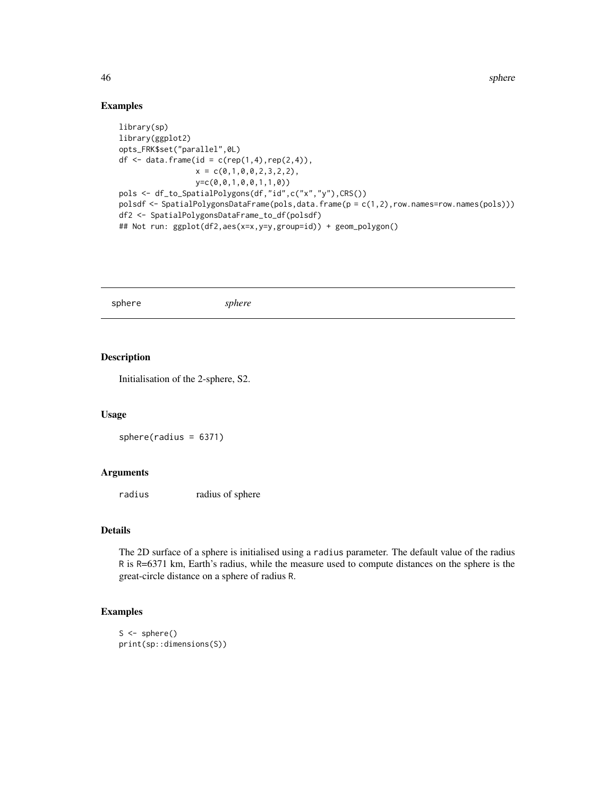46 sphere sphere sphere sphere sphere sphere sphere sphere sphere sphere sphere

#### Examples

```
library(sp)
library(ggplot2)
opts_FRK$set("parallel",0L)
df <- data.frame(id = c(rep(1,4), rep(2,4)),x = c(0,1,0,0,2,3,2,2),y=c(0,0,1,0,0,1,1,0))
pols <- df_to_SpatialPolygons(df,"id",c("x","y"),CRS())
polsdf <- SpatialPolygonsDataFrame(pols,data.frame(p = c(1,2),row.names=row.names(pols)))
df2 <- SpatialPolygonsDataFrame_to_df(polsdf)
## Not run: ggplot(df2,aes(x=x,y=y,group=id)) + geom_polygon()
```
<span id="page-45-1"></span>sphere *sphere*

## Description

Initialisation of the 2-sphere, S2.

#### Usage

sphere(radius = 6371)

#### Arguments

radius radius of sphere

## Details

The 2D surface of a sphere is initialised using a radius parameter. The default value of the radius R is R=6371 km, Earth's radius, while the measure used to compute distances on the sphere is the great-circle distance on a sphere of radius R.

## Examples

```
S \leftarrow sphere()print(sp::dimensions(S))
```
<span id="page-45-0"></span>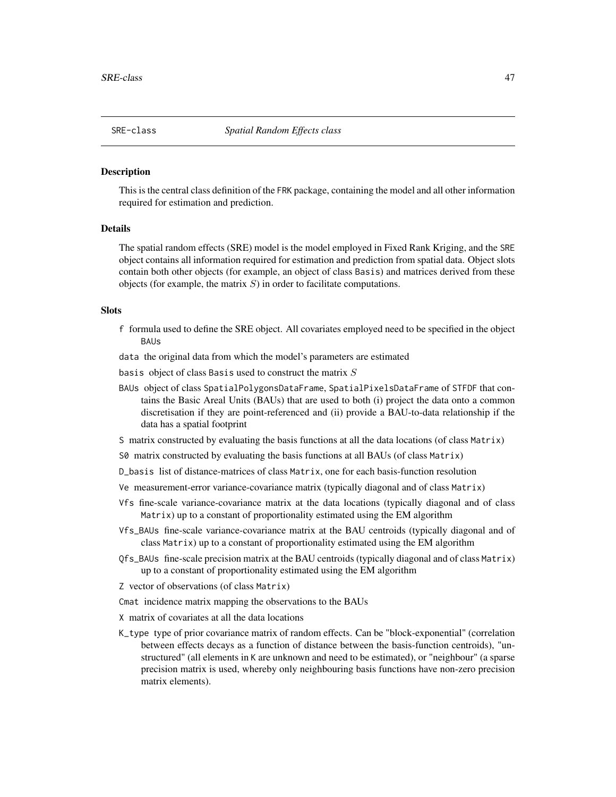<span id="page-46-1"></span><span id="page-46-0"></span>

#### Description

This is the central class definition of the FRK package, containing the model and all other information required for estimation and prediction.

#### Details

The spatial random effects (SRE) model is the model employed in Fixed Rank Kriging, and the SRE object contains all information required for estimation and prediction from spatial data. Object slots contain both other objects (for example, an object of class Basis) and matrices derived from these objects (for example, the matrix  $S$ ) in order to facilitate computations.

#### Slots

- f formula used to define the SRE object. All covariates employed need to be specified in the object **BALIS**
- data the original data from which the model's parameters are estimated
- basis object of class Basis used to construct the matrix  $S$
- BAUs object of class SpatialPolygonsDataFrame, SpatialPixelsDataFrame of STFDF that contains the Basic Areal Units (BAUs) that are used to both (i) project the data onto a common discretisation if they are point-referenced and (ii) provide a BAU-to-data relationship if the data has a spatial footprint
- S matrix constructed by evaluating the basis functions at all the data locations (of class Matrix)
- S0 matrix constructed by evaluating the basis functions at all BAUs (of class Matrix)
- D\_basis list of distance-matrices of class Matrix, one for each basis-function resolution
- Ve measurement-error variance-covariance matrix (typically diagonal and of class Matrix)
- Vfs fine-scale variance-covariance matrix at the data locations (typically diagonal and of class Matrix) up to a constant of proportionality estimated using the EM algorithm
- Vfs\_BAUs fine-scale variance-covariance matrix at the BAU centroids (typically diagonal and of class Matrix) up to a constant of proportionality estimated using the EM algorithm
- Qfs\_BAUs fine-scale precision matrix at the BAU centroids (typically diagonal and of class Matrix) up to a constant of proportionality estimated using the EM algorithm
- Z vector of observations (of class Matrix)
- Cmat incidence matrix mapping the observations to the BAUs
- X matrix of covariates at all the data locations
- K\_type type of prior covariance matrix of random effects. Can be "block-exponential" (correlation between effects decays as a function of distance between the basis-function centroids), "unstructured" (all elements in K are unknown and need to be estimated), or "neighbour" (a sparse precision matrix is used, whereby only neighbouring basis functions have non-zero precision matrix elements).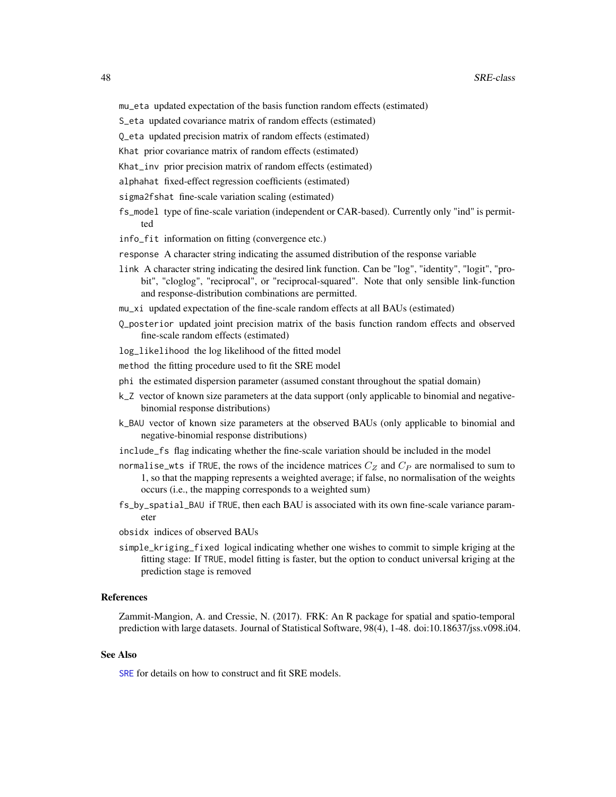- <span id="page-47-0"></span>S\_eta updated covariance matrix of random effects (estimated)
- Q\_eta updated precision matrix of random effects (estimated)
- Khat prior covariance matrix of random effects (estimated)
- Khat\_inv prior precision matrix of random effects (estimated)
- alphahat fixed-effect regression coefficients (estimated)
- sigma2fshat fine-scale variation scaling (estimated)
- fs\_model type of fine-scale variation (independent or CAR-based). Currently only "ind" is permitted
- info\_fit information on fitting (convergence etc.)
- response A character string indicating the assumed distribution of the response variable
- link A character string indicating the desired link function. Can be "log", "identity", "logit", "probit", "cloglog", "reciprocal", or "reciprocal-squared". Note that only sensible link-function and response-distribution combinations are permitted.
- mu\_xi updated expectation of the fine-scale random effects at all BAUs (estimated)
- Q\_posterior updated joint precision matrix of the basis function random effects and observed fine-scale random effects (estimated)
- log\_likelihood the log likelihood of the fitted model
- method the fitting procedure used to fit the SRE model
- phi the estimated dispersion parameter (assumed constant throughout the spatial domain)
- k\_Z vector of known size parameters at the data support (only applicable to binomial and negativebinomial response distributions)
- k\_BAU vector of known size parameters at the observed BAUs (only applicable to binomial and negative-binomial response distributions)
- include\_fs flag indicating whether the fine-scale variation should be included in the model
- normalise\_wts if TRUE, the rows of the incidence matrices  $C_Z$  and  $C_P$  are normalised to sum to 1, so that the mapping represents a weighted average; if false, no normalisation of the weights occurs (i.e., the mapping corresponds to a weighted sum)
- fs\_by\_spatial\_BAU if TRUE, then each BAU is associated with its own fine-scale variance parameter
- obsidx indices of observed BAUs
- simple\_kriging\_fixed logical indicating whether one wishes to commit to simple kriging at the fitting stage: If TRUE, model fitting is faster, but the option to conduct universal kriging at the prediction stage is removed

#### References

Zammit-Mangion, A. and Cressie, N. (2017). FRK: An R package for spatial and spatio-temporal prediction with large datasets. Journal of Statistical Software, 98(4), 1-48. doi:10.18637/jss.v098.i04.

#### See Also

[SRE](#page-19-2) for details on how to construct and fit SRE models.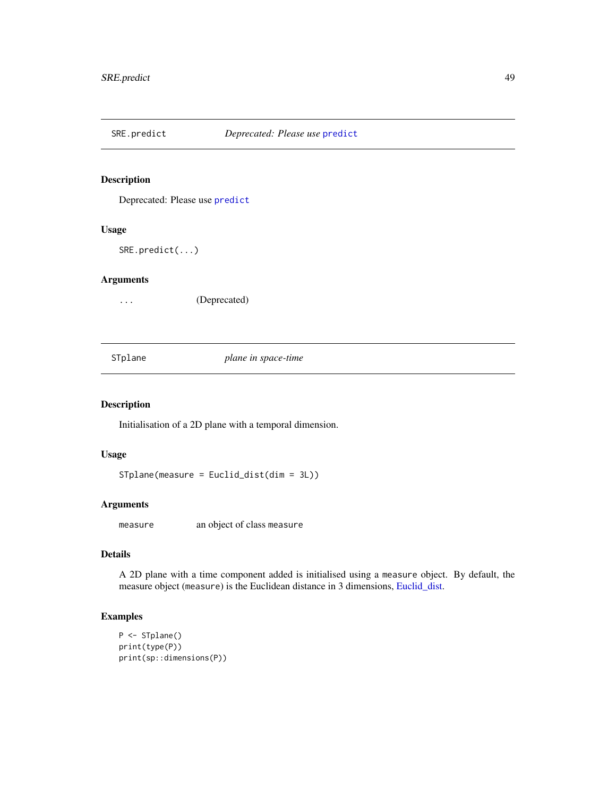<span id="page-48-0"></span>

## Description

Deprecated: Please use [predict](#page-0-0)

#### Usage

SRE.predict(...)

## Arguments

... (Deprecated)

<span id="page-48-1"></span>STplane *plane in space-time*

## Description

Initialisation of a 2D plane with a temporal dimension.

## Usage

STplane(measure = Euclid\_dist(dim = 3L))

#### Arguments

measure an object of class measure

## Details

A 2D plane with a time component added is initialised using a measure object. By default, the measure object (measure) is the Euclidean distance in 3 dimensions, [Euclid\\_dist.](#page-16-2)

## Examples

```
P <- STplane()
print(type(P))
print(sp::dimensions(P))
```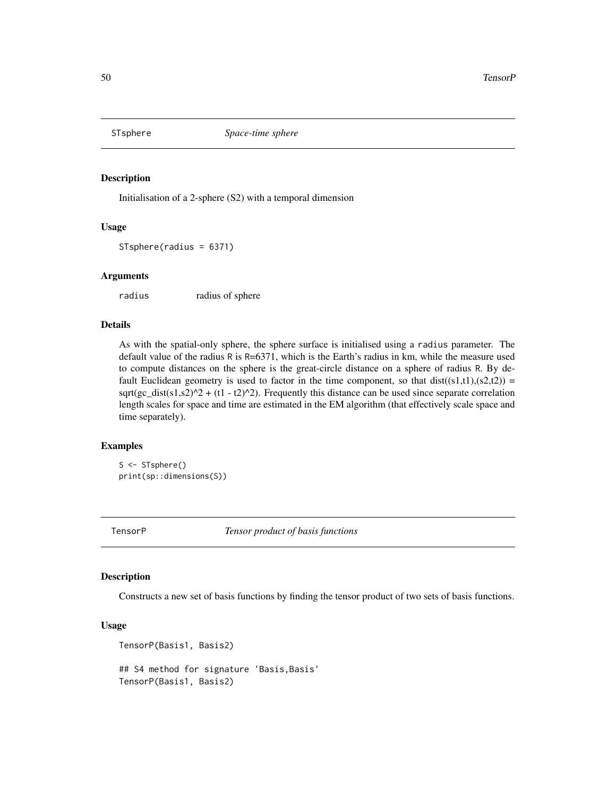<span id="page-49-1"></span><span id="page-49-0"></span>

#### Description

Initialisation of a 2-sphere (S2) with a temporal dimension

## Usage

STsphere(radius = 6371)

### Arguments

radius radius of sphere

## Details

As with the spatial-only sphere, the sphere surface is initialised using a radius parameter. The default value of the radius R is R=6371, which is the Earth's radius in km, while the measure used to compute distances on the sphere is the great-circle distance on a sphere of radius R. By default Euclidean geometry is used to factor in the time component, so that  $dist((s1,t1),(s2,t2)) =$  $sqrt(gc_dist(s1,s2)^2 + (t1 - t2)^2)$ . Frequently this distance can be used since separate correlation length scales for space and time are estimated in the EM algorithm (that effectively scale space and time separately).

#### Examples

S <- STsphere() print(sp::dimensions(S))

TensorP *Tensor product of basis functions*

#### Description

Constructs a new set of basis functions by finding the tensor product of two sets of basis functions.

## Usage

```
TensorP(Basis1, Basis2)
## S4 method for signature 'Basis,Basis'
TensorP(Basis1, Basis2)
```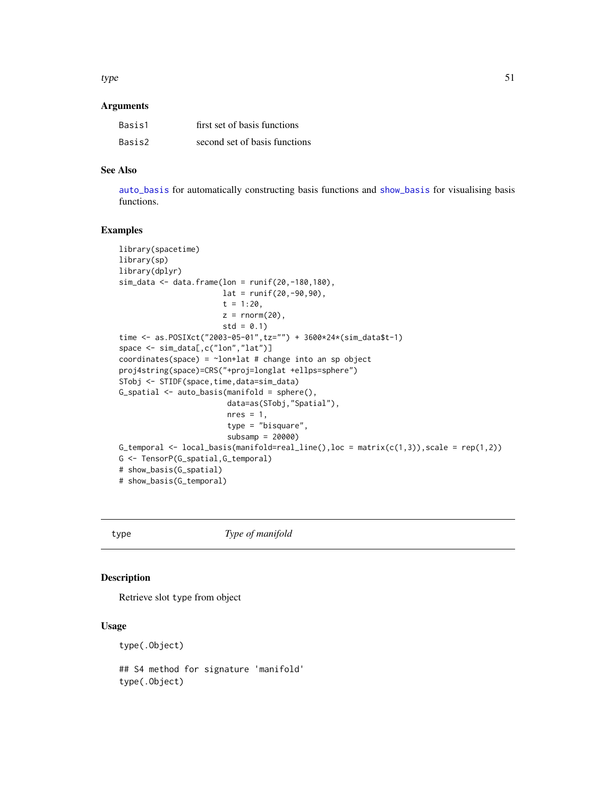#### <span id="page-50-0"></span> $type$  51

#### **Arguments**

| Basis1 | first set of basis functions  |
|--------|-------------------------------|
| Basis2 | second set of basis functions |

## See Also

[auto\\_basis](#page-3-1) for automatically constructing basis functions and [show\\_basis](#page-43-1) for visualising basis functions.

## Examples

```
library(spacetime)
library(sp)
library(dplyr)
sim_data <- data.frame(lon = runif(20,-180,180),
                       lat = runif(20, -90, 90),
                       t = 1:20,
                       z = \text{norm}(20),
                       std = 0.1time <- as.POSIXct("2003-05-01",tz="") + 3600*24*(sim_data$t-1)
space <- sim_data[,c("lon","lat")]
coordinates(space) = \simlon+lat # change into an sp object
proj4string(space)=CRS("+proj=longlat +ellps=sphere")
STobj <- STIDF(space,time,data=sim_data)
G_spatial <- auto_basis(manifold = sphere(),
                         data=as(STobj,"Spatial"),
                        nres = 1,
                         type = "bisquare",
                         subsamp = 20000)
G_temporal \leq local_basis(manifold=real_line(), loc = matrix(c(1,3)), scale = rep(1,2))
G <- TensorP(G_spatial,G_temporal)
# show_basis(G_spatial)
# show_basis(G_temporal)
```
type *Type of manifold*

#### Description

Retrieve slot type from object

#### Usage

type(.Object)

## S4 method for signature 'manifold' type(.Object)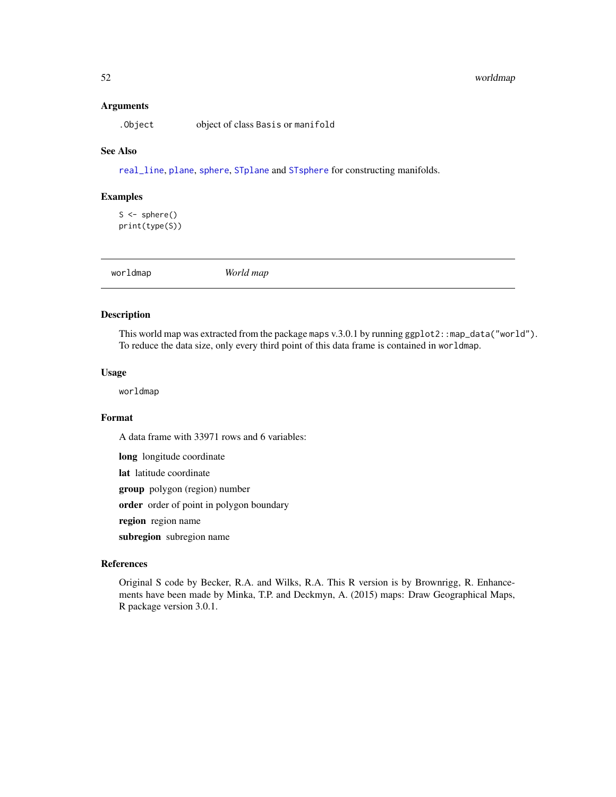#### <span id="page-51-0"></span>52 worldmap worldmap worldmap worldmap worldmap worldmap worldmap worldmap worldmap worldmap worldmap worldmap

#### Arguments

.Object object of class Basis or manifold

#### See Also

[real\\_line](#page-41-1), [plane](#page-37-1), [sphere](#page-45-1), [STplane](#page-48-1) and [STsphere](#page-49-1) for constructing manifolds.

#### Examples

 $S \leftarrow sphere()$ print(type(S))

<span id="page-51-1"></span>

worldmap *World map*

## Description

This world map was extracted from the package maps v.3.0.1 by running ggplot2::map\_data("world"). To reduce the data size, only every third point of this data frame is contained in worldmap.

#### Usage

worldmap

#### Format

A data frame with 33971 rows and 6 variables:

long longitude coordinate

lat latitude coordinate

group polygon (region) number

order order of point in polygon boundary

region region name

subregion subregion name

## References

Original S code by Becker, R.A. and Wilks, R.A. This R version is by Brownrigg, R. Enhancements have been made by Minka, T.P. and Deckmyn, A. (2015) maps: Draw Geographical Maps, R package version 3.0.1.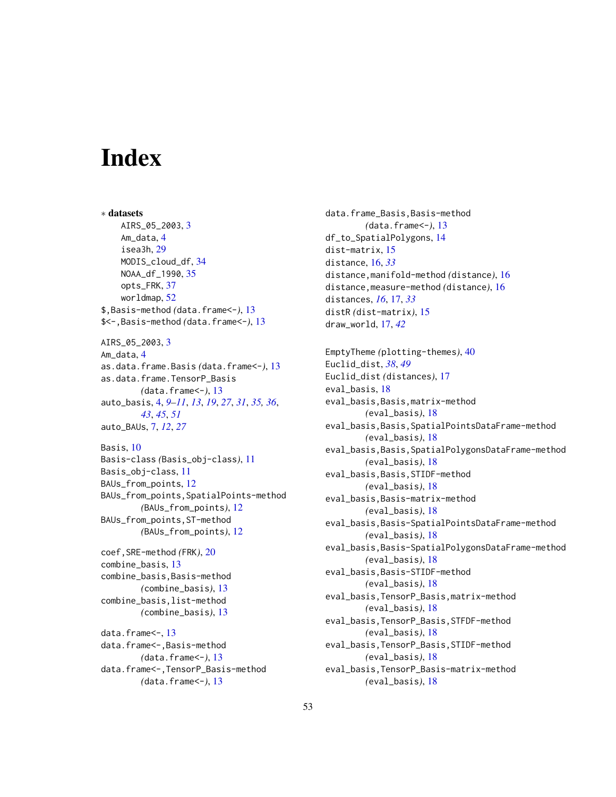# <span id="page-52-0"></span>**Index**

∗ datasets AIRS\_05\_2003, [3](#page-2-0) Am\_data, [4](#page-3-0) isea3h, [29](#page-28-0) MODIS\_cloud\_df, [34](#page-33-0) NOAA\_df\_1990, [35](#page-34-0) opts\_FRK, [37](#page-36-0) worldmap, [52](#page-51-0) \$,Basis-method *(*data.frame<-*)*, [13](#page-12-0) \$<-,Basis-method *(*data.frame<-*)*, [13](#page-12-0) AIRS\_05\_2003, [3](#page-2-0) Am\_data, [4](#page-3-0) as.data.frame.Basis *(*data.frame<-*)*, [13](#page-12-0) as.data.frame.TensorP\_Basis *(*data.frame<-*)*, [13](#page-12-0) auto\_basis, [4,](#page-3-0) *[9](#page-8-0)[–11](#page-10-0)*, *[13](#page-12-0)*, *[19](#page-18-0)*, *[27](#page-26-0)*, *[31](#page-30-0)*, *[35,](#page-34-0) [36](#page-35-0)*, *[43](#page-42-0)*, *[45](#page-44-0)*, *[51](#page-50-0)* auto\_BAUs, [7,](#page-6-0) *[12](#page-11-0)*, *[27](#page-26-0)* Basis, [10](#page-9-0) Basis-class *(*Basis\_obj-class*)*, [11](#page-10-0) Basis\_obj-class, [11](#page-10-0) BAUs\_from\_points, [12](#page-11-0) BAUs\_from\_points,SpatialPoints-method *(*BAUs\_from\_points*)*, [12](#page-11-0) BAUs\_from\_points,ST-method *(*BAUs\_from\_points*)*, [12](#page-11-0) coef,SRE-method *(*FRK*)*, [20](#page-19-0) combine\_basis, [13](#page-12-0) combine\_basis,Basis-method *(*combine\_basis*)*, [13](#page-12-0) combine\_basis,list-method *(*combine\_basis*)*, [13](#page-12-0) data.frame <- , [13](#page-12-0) data.frame<-,Basis-method *(*data.frame<-*)*, [13](#page-12-0) data.frame<-,TensorP\_Basis-method *(*data.frame<-*)*, [13](#page-12-0)

data.frame\_Basis,Basis-method *(*data.frame<-*)*, [13](#page-12-0) df\_to\_SpatialPolygons, [14](#page-13-0) dist-matrix, [15](#page-14-0) distance, [16,](#page-15-0) *[33](#page-32-0)* distance,manifold-method *(*distance*)*, [16](#page-15-0) distance,measure-method *(*distance*)*, [16](#page-15-0) distances, *[16](#page-15-0)*, [17,](#page-16-0) *[33](#page-32-0)* distR *(*dist-matrix*)*, [15](#page-14-0) draw\_world, [17,](#page-16-0) *[42](#page-41-0)*

EmptyTheme *(*plotting-themes*)*, [40](#page-39-0) Euclid\_dist, *[38](#page-37-0)*, *[49](#page-48-0)* Euclid\_dist *(*distances*)*, [17](#page-16-0) eval\_basis, [18](#page-17-0) eval\_basis,Basis,matrix-method *(*eval\_basis*)*, [18](#page-17-0) eval\_basis,Basis,SpatialPointsDataFrame-method *(*eval\_basis*)*, [18](#page-17-0) eval\_basis,Basis,SpatialPolygonsDataFrame-method *(*eval\_basis*)*, [18](#page-17-0) eval\_basis,Basis,STIDF-method *(*eval\_basis*)*, [18](#page-17-0) eval\_basis,Basis-matrix-method *(*eval\_basis*)*, [18](#page-17-0) eval\_basis,Basis-SpatialPointsDataFrame-method *(*eval\_basis*)*, [18](#page-17-0) eval\_basis,Basis-SpatialPolygonsDataFrame-method *(*eval\_basis*)*, [18](#page-17-0) eval\_basis,Basis-STIDF-method *(*eval\_basis*)*, [18](#page-17-0) eval\_basis,TensorP\_Basis,matrix-method *(*eval\_basis*)*, [18](#page-17-0) eval\_basis,TensorP\_Basis,STFDF-method *(*eval\_basis*)*, [18](#page-17-0) eval\_basis,TensorP\_Basis,STIDF-method *(*eval\_basis*)*, [18](#page-17-0) eval\_basis,TensorP\_Basis-matrix-method *(*eval\_basis*)*, [18](#page-17-0)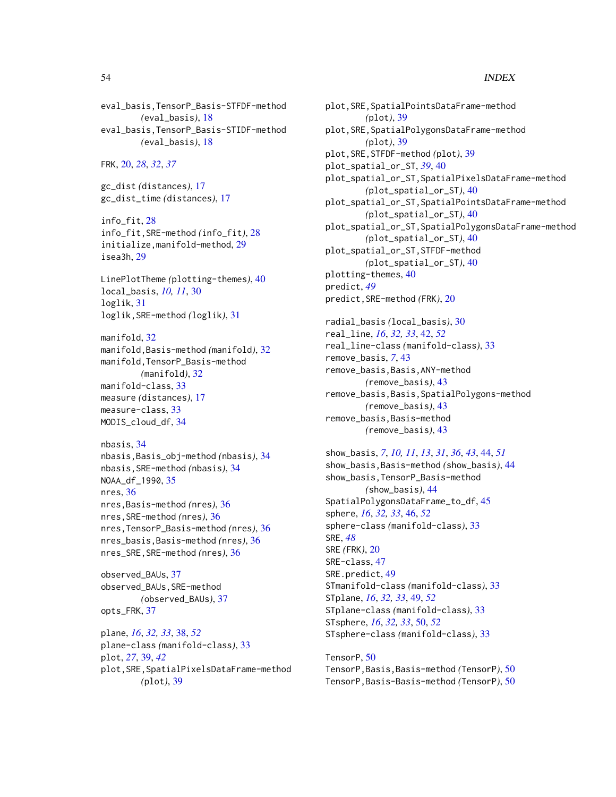eval\_basis,TensorP\_Basis-STFDF-method *(*eval\_basis*)*, [18](#page-17-0) eval\_basis,TensorP\_Basis-STIDF-method *(*eval\_basis*)*, [18](#page-17-0) FRK, [20,](#page-19-0) *[28](#page-27-0)*, *[32](#page-31-0)*, *[37](#page-36-0)* gc\_dist *(*distances*)*, [17](#page-16-0) gc\_dist\_time *(*distances*)*, [17](#page-16-0) info\_fit, [28](#page-27-0) info\_fit,SRE-method *(*info\_fit*)*, [28](#page-27-0) initialize,manifold-method, [29](#page-28-0) isea3h, [29](#page-28-0) LinePlotTheme *(*plotting-themes*)*, [40](#page-39-0) local\_basis, *[10,](#page-9-0) [11](#page-10-0)*, [30](#page-29-0) loglik, [31](#page-30-0) loglik,SRE-method *(*loglik*)*, [31](#page-30-0) manifold, [32](#page-31-0) manifold,Basis-method *(*manifold*)*, [32](#page-31-0) manifold,TensorP\_Basis-method *(*manifold*)*, [32](#page-31-0) manifold-class, [33](#page-32-0) measure *(*distances*)*, [17](#page-16-0) measure-class, [33](#page-32-0) MODIS\_cloud\_df, [34](#page-33-0) nbasis, [34](#page-33-0) nbasis,Basis\_obj-method *(*nbasis*)*, [34](#page-33-0) nbasis,SRE-method *(*nbasis*)*, [34](#page-33-0) NOAA\_df\_1990, [35](#page-34-0) nres, [36](#page-35-0) nres,Basis-method *(*nres*)*, [36](#page-35-0) nres,SRE-method *(*nres*)*, [36](#page-35-0) nres,TensorP\_Basis-method *(*nres*)*, [36](#page-35-0) nres\_basis,Basis-method *(*nres*)*, [36](#page-35-0) nres\_SRE,SRE-method *(*nres*)*, [36](#page-35-0) observed\_BAUs, [37](#page-36-0) observed\_BAUs, SRE-method *(*observed\_BAUs*)*, [37](#page-36-0) opts\_FRK, [37](#page-36-0) plane, *[16](#page-15-0)*, *[32,](#page-31-0) [33](#page-32-0)*, [38,](#page-37-0) *[52](#page-51-0)* plane-class *(*manifold-class*)*, [33](#page-32-0) plot, *[27](#page-26-0)*, [39,](#page-38-0) *[42](#page-41-0)* plot,SRE,SpatialPixelsDataFrame-method

*(*plot*)*, [39](#page-38-0)

plot,SRE,SpatialPointsDataFrame-method *(*plot*)*, [39](#page-38-0) plot,SRE,SpatialPolygonsDataFrame-method *(*plot*)*, [39](#page-38-0) plot,SRE,STFDF-method *(*plot*)*, [39](#page-38-0) plot\_spatial\_or\_ST, *[39](#page-38-0)*, [40](#page-39-0) plot\_spatial\_or\_ST,SpatialPixelsDataFrame-method *(*plot\_spatial\_or\_ST*)*, [40](#page-39-0) plot\_spatial\_or\_ST,SpatialPointsDataFrame-method *(*plot\_spatial\_or\_ST*)*, [40](#page-39-0) plot\_spatial\_or\_ST,SpatialPolygonsDataFrame-method *(*plot\_spatial\_or\_ST*)*, [40](#page-39-0) plot\_spatial\_or\_ST,STFDF-method *(*plot\_spatial\_or\_ST*)*, [40](#page-39-0) plotting-themes, [40](#page-39-0) predict, *[49](#page-48-0)* predict,SRE-method *(*FRK*)*, [20](#page-19-0) radial\_basis *(*local\_basis*)*, [30](#page-29-0) real\_line, *[16](#page-15-0)*, *[32,](#page-31-0) [33](#page-32-0)*, [42,](#page-41-0) *[52](#page-51-0)* real\_line-class *(*manifold-class*)*, [33](#page-32-0) remove\_basis, *[7](#page-6-0)*, [43](#page-42-0) remove\_basis,Basis,ANY-method *(*remove\_basis*)*, [43](#page-42-0)

remove\_basis,Basis,SpatialPolygons-method *(*remove\_basis*)*, [43](#page-42-0) remove\_basis,Basis-method *(*remove\_basis*)*, [43](#page-42-0)

```
show_basis, 7, 10, 11, 13, 31, 36, 43, 44, 51
show_basis,Basis-method (show_basis), 44
show_basis,TensorP_Basis-method
         (show_basis), 44
SpatialPolygonsDataFrame_to_df, 45
sphere, 16, 32, 33, 46, 52
sphere-class (manifold-class), 33
SRE, 48
SRE (FRK), 20
SRE-class, 47
SRE.predict, 49
STmanifold-class (manifold-class), 33
STplane, 16, 32, 33, 49, 52
STplane-class (manifold-class), 33
STsphere, 16, 32, 33, 50, 52
STsphere-class (manifold-class), 33
```
TensorP, [50](#page-49-0) TensorP,Basis,Basis-method *(*TensorP*)*, [50](#page-49-0) TensorP,Basis-Basis-method *(*TensorP*)*, [50](#page-49-0)